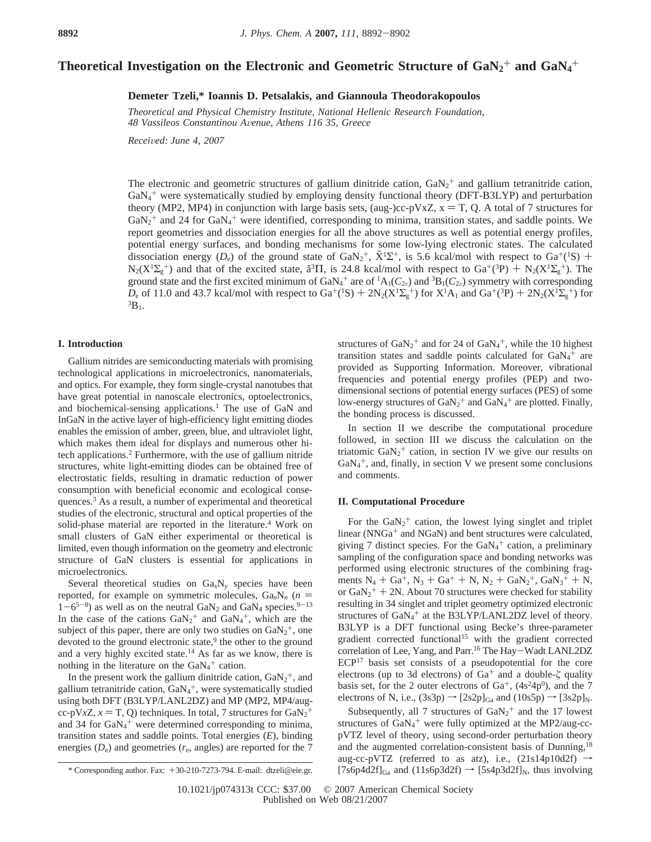# Theoretical Investigation on the Electronic and Geometric Structure of  $\text{GaN}_2^+$  and  $\text{GaN}_4^+$

**Demeter Tzeli,\* Ioannis D. Petsalakis, and Giannoula Theodorakopoulos**

*Theoretical and Physical Chemistry Institute, National Hellenic Research Foundation, 48 Vassileos Constantinou A*V*enue, Athens 116 35, Greece*

*Recei*V*ed: June 4, 2007*

The electronic and geometric structures of gallium dinitride cation,  $GaN_2$ <sup>+</sup> and gallium tetranitride cation, GaN<sub>4</sub><sup>+</sup> were systematically studied by employing density functional theory (DFT-B3LYP) and perturbation theory (MP2, MP4) in conjunction with large basis sets, (aug-)cc-pVxZ,  $x = T$ , Q. A total of 7 structures for  $GaN_2$ <sup>+</sup> and 24 for  $GaN_4$ <sup>+</sup> were identified, corresponding to minima, transition states, and saddle points. We report geometries and dissociation energies for all the above structures as well as potential energy profiles, potential energy surfaces, and bonding mechanisms for some low-lying electronic states. The calculated dissociation energy (*D*<sub>e</sub>) of the ground state of GaN<sub>2</sub><sup>+</sup>,  $\tilde{X}^1\Sigma^+$ , is 5.6 kcal/mol with respect to Ga<sup>+</sup>(<sup>1</sup>S) + N<sub>2</sub>( $X^1\Sigma$ <sup>+</sup>) and that of the excited state  $\tilde{a}^{31}$  is 24.8 kcal/mol with respect to Ga<sup></sup>  $N_2(X^1\Sigma_g^+)$  and that of the excited state,  $\tilde{a}^3\Pi$ , is 24.8 kcal/mol with respect to  $Ga^{+3}P$ ) +  $N_2(X^1\Sigma_g^+)$ . The pround state and the first excited minimum of  $Ga^{+}$  are of  ${}^{1}A_1(C_2)$  and  ${}^{3}B_1(C_2)$  symmet ground state and the first excited minimum of  $GaN_4^+$  are of  ${}^1A_1(C_{2v})$  and  ${}^3B_1(C_{2v})$  symmetry with corresponding<br>B<sub>1</sub>  $C_2$ <sup>+</sup> $(3D_1 + 2N_1(C_2 + 1)$  and  $C_2$ <sup>+ $(3D_1 + 2N_1(C_2 + 1))$  for  $N_1(C_2 + 1)$  for  $N_1(C_2 + 1)$ </sup>  $D_e$  of 11.0 and 43.7 kcal/mol with respect to  $Ga^+(^1S) + 2N_2(X^1\Sigma_g^+)$  for  $X^1A_1$  and  $Ga^+(^3P) + 2N_2(X^1\Sigma_g^+)$  for  $^{3}R$ .  ${}^{3}B_1$ .

### **I. Introduction**

Gallium nitrides are semiconducting materials with promising technological applications in microelectronics, nanomaterials, and optics. For example, they form single-crystal nanotubes that have great potential in nanoscale electronics, optoelectronics, and biochemical-sensing applications.<sup>1</sup> The use of GaN and InGaN in the active layer of high-efficiency light emitting diodes enables the emission of amber, green, blue, and ultraviolet light, which makes them ideal for displays and numerous other hitech applications.2 Furthermore, with the use of gallium nitride structures, white light-emitting diodes can be obtained free of electrostatic fields, resulting in dramatic reduction of power consumption with beneficial economic and ecological consequences.3 As a result, a number of experimental and theoretical studies of the electronic, structural and optical properties of the solid-phase material are reported in the literature.<sup>4</sup> Work on small clusters of GaN either experimental or theoretical is limited, even though information on the geometry and electronic structure of GaN clusters is essential for applications in microelectronics.

Several theoretical studies on  $Ga<sub>x</sub>N<sub>y</sub>$  species have been reported, for example on symmetric molecules,  $Ga_nN_n$  ( $n =$  $1-6^{5-8}$ ) as well as on the neutral GaN<sub>2</sub> and GaN<sub>4</sub> species.<sup>9-13</sup> In the case of the cations  $\text{GaN}_2^+$  and  $\text{GaN}_4^+$ , which are the subject of this paper, there are only two studies on  $GaN_2^+$ , one devoted to the ground electronic state, $9$  the other to the ground and a very highly excited state.<sup>14</sup> As far as we know, there is nothing in the literature on the  $GaN_4^+$  cation.

In the present work the gallium dinitride cation,  $GaN_2^+$ , and gallium tetranitride cation,  $GaN_4^+$ , were systematically studied using both DFT (B3LYP/LANL2DZ) and MP (MP2, MP4/augcc-pV*xZ*,  $x = T$ , Q) techniques. In total, 7 structures for  $GaN_2^+$ <br>and 34 for  $GaN_2^+$  were determined corresponding to minima and 34 for  $GaN<sub>4</sub><sup>+</sup>$  were determined corresponding to minima, transition states and saddle points. Total energies (*E*), binding energies  $(D_e)$  and geometries  $(r_e, \text{angles})$  are reported for the 7

structures of  $\text{GaN}_2^+$  and for 24 of  $\text{GaN}_4^+$ , while the 10 highest transition states and saddle points calculated for  $GaN_4$ <sup>+</sup> are provided as Supporting Information. Moreover, vibrational frequencies and potential energy profiles (PEP) and twodimensional sections of potential energy surfaces (PES) of some low-energy structures of  $\text{GaN}_2^+$  and  $\text{GaN}_4^+$  are plotted. Finally, the bonding process is discussed.

In section II we describe the computational procedure followed, in section III we discuss the calculation on the triatomic  $GaN_2$ <sup>+</sup> cation, in section IV we give our results on  $GaN<sub>4</sub><sup>+</sup>$ , and, finally, in section V we present some conclusions and comments.

### **II. Computational Procedure**

For the  $GaN_2$ <sup>+</sup> cation, the lowest lying singlet and triplet linear ( $NNGa<sup>+</sup>$  and  $NGaN$ ) and bent structures were calculated, giving 7 distinct species. For the  $GaN<sub>4</sub><sup>+</sup>$  cation, a preliminary sampling of the configuration space and bonding networks was performed using electronic structures of the combining fragments  $N_4 + Ga^+, N_3 + Ga^+ + N, N_2 + GaN_2^+, GaN_3^+ + N,$ <br>or  $GaN_2^+ + 2N$ . About 70 structures were checked for stability or  $\text{GaN}_2^+$  + 2N. About 70 structures were checked for stability<br>resulting in 34 singlet and triplet geometry optimized electronic resulting in 34 singlet and triplet geometry optimized electronic structures of  $GaN_4$ <sup>+</sup> at the B3LYP/LANL2DZ level of theory. B3LYP is a DFT functional using Becke's three-parameter gradient corrected functional<sup>15</sup> with the gradient corrected correlation of Lee, Yang, and Parr.<sup>16</sup> The Hay-Wadt LANL2DZ ECP17 basis set consists of a pseudopotential for the core electrons (up to 3d electrons) of  $Ga<sup>+</sup>$  and a double- $\zeta$  quality basis set, for the 2 outer electrons of  $Ga^+$ ,  $(4s^24p^0)$ , and the 7 electrons of N, i.e.,  $(3s3p) \rightarrow [2s2p]_{Ga}$  and  $(10s5p) \rightarrow [3s2p]_{N}$ .

Subsequently, all 7 structures of  $GaN_2^+$  and the 17 lowest structures of  $GaN_4$ <sup>+</sup> were fully optimized at the MP2/aug-ccpVTZ level of theory, using second-order perturbation theory and the augmented correlation-consistent basis of Dunning,18 aug-cc-pVTZ (referred to as atz), i.e.,  $(21s14p10d2f)$   $\rightarrow$ \* Corresponding author. Fax: +30-210-7273-794. E-mail: dtzeli@eie.gr. [7s6p4d2f]<sub>Ga</sub> and (11s6p3d2f)  $\rightarrow$  [5s4p3d2f]<sub>N</sub>, thus involving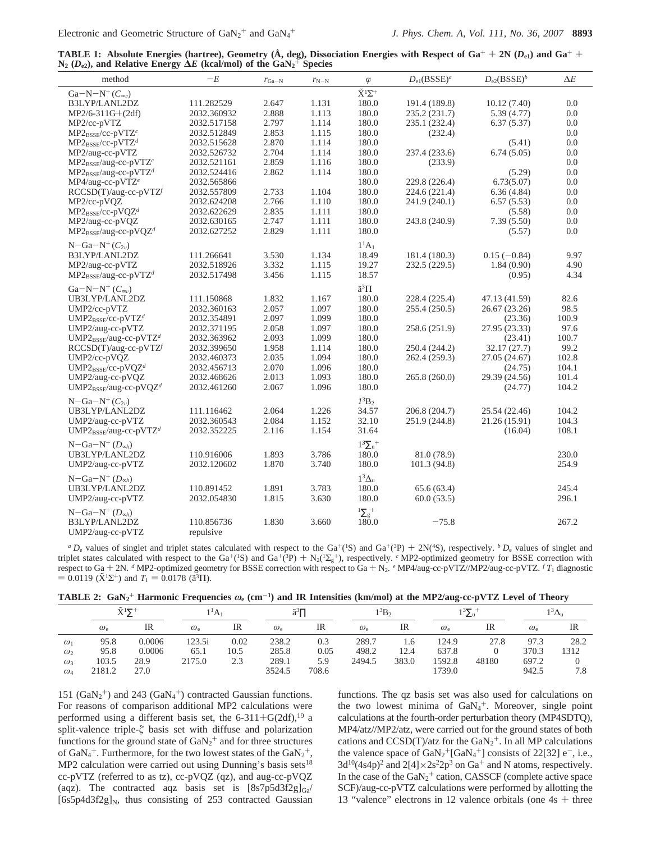**TABLE 1: Absolute Energies (hartree), Geometry (Å, deg), Dissociation Energies with Respect of Ga**<sup>+</sup> + **2N (***D***e1) and Ga**<sup>+</sup> + **N2 (***D***e2), and Relative Energy ∆***E* **(kcal/mol) of the GaN2** <sup>+</sup> **Species**

| method                                          | $-E$        | $r_{\text{Ga-N}}$ | $r_{\rm N-N}$ | $\varphi$                | $D_{e1}$ (BSSE) <sup>a</sup> | $D_{e2}$ (BSSE) <sup>b</sup> | $\Delta E$ |
|-------------------------------------------------|-------------|-------------------|---------------|--------------------------|------------------------------|------------------------------|------------|
| Ga-N-N <sup>+</sup> $(C_{\infty}$               |             |                   |               | $\tilde{X}^1\Sigma^+$    |                              |                              |            |
| B3LYP/LANL2DZ                                   | 111.282529  | 2.647             | 1.131         | 180.0                    | 191.4 (189.8)                | 10.12(7.40)                  | 0.0        |
| $MP2/6-311G+(2df)$                              | 2032.360932 | 2.888             | 1.113         | 180.0                    | 235.2 (231.7)                | 5.39(4.77)                   | 0.0        |
| MP2/cc-pVTZ                                     | 2032.517158 | 2.797             | 1.114         | 180.0                    | 235.1 (232.4)                | 6.37(5.37)                   | 0.0        |
| $MP2_{BSSF}/cc-pVTZc$                           | 2032.512849 | 2.853             | 1.115         | 180.0                    | (232.4)                      |                              | 0.0        |
| $\text{MP2}_{\text{BSSE}}/\text{cc-pVTZ}^d$     | 2032.515628 | 2.870             | 1.114         | 180.0                    |                              | (5.41)                       | 0.0        |
| MP2/aug-cc-pVTZ                                 | 2032.526732 | 2.704             | 1.114         | 180.0                    | 237.4 (233.6)                | 6.74(5.05)                   | 0.0        |
| $\text{MP2}_{\text{BSSE}}/\text{aug-cc-pVTZ}^c$ | 2032.521161 | 2.859             | 1.116         | 180.0                    | (233.9)                      |                              | 0.0        |
| MP2BSSE/aug-cc-pVTZ <sup>d</sup>                | 2032.524416 | 2.862             | 1.114         | 180.0                    |                              | (5.29)                       | 0.0        |
| $MP4/aug-cc-pVTZ^e$                             | 2032.565866 |                   |               | 180.0                    | 229.8 (226.4)                | 6.73(5.07)                   | 0.0        |
| RCCSD(T)/aug-cc-pVTZf                           | 2032.557809 | 2.733             | 1.104         | 180.0                    | 224.6 (221.4)                | 6.36(4.84)                   | 0.0        |
| MP2/cc-pVQZ                                     | 2032.624208 | 2.766             | 1.110         | 180.0                    | 241.9 (240.1)                | 6.57(5.53)                   | 0.0        |
| MP2BSSE/cc-pVQZ <sup>d</sup>                    | 2032.622629 | 2.835             | 1.111         | 180.0                    |                              | (5.58)                       | 0.0        |
| MP2/aug-cc-pVQZ                                 | 2032.630165 | 2.747             | 1.111         | 180.0                    | 243.8 (240.9)                | 7.39(5.50)                   | 0.0        |
| $MP2_{BSE}/aug-cc-pVQZ^{d}$                     | 2032.627252 | 2.829             | 1.111         | 180.0                    |                              | (5.57)                       | 0.0        |
| $N-Ga-N^+(C_{2n})$                              |             |                   |               | $1^1A_1$                 |                              |                              |            |
| B3LYP/LANL2DZ                                   | 111.266641  | 3.530             | 1.134         | 18.49                    | 181.4 (180.3)                | $0.15(-0.84)$                | 9.97       |
| MP2/aug-cc-pVTZ                                 | 2032.518926 | 3.332             | 1.115         | 19.27                    | 232.5 (229.5)                | 1.84(0.90)                   | 4.90       |
| $MP2_{BSE}/aug-cc-pVTZd$                        | 2032.517498 | 3.456             | 1.115         | 18.57                    |                              | (0.95)                       | 4.34       |
| $Ga-N-N^+(C_{\infty}$                           |             |                   |               | $\tilde{a}^3\Pi$         |                              |                              |            |
| UB3LYP/LANL2DZ                                  | 111.150868  | 1.832             | 1.167         | 180.0                    | 228.4 (225.4)                | 47.13 (41.59)                | 82.6       |
| UMP2/cc-pVTZ                                    | 2032.360163 | 2.057             | 1.097         | 180.0                    | 255.4 (250.5)                | 26.67 (23.26)                | 98.5       |
| $UMP2_{BSE}/cc-pVTZd$                           | 2032.354891 | 2.097             | 1.099         | 180.0                    |                              | (23.36)                      | 100.9      |
| UMP2/aug-cc-pVTZ                                | 2032.371195 | 2.058             | 1.097         | 180.0                    | 258.6 (251.9)                | 27.95 (23.33)                | 97.6       |
| $UMP2_{BSSE}/aug-cc-pVTZd$                      | 2032.363962 | 2.093             | 1.099         | 180.0                    |                              | (23.41)                      | 100.7      |
| RCCSD(T)/aug-cc-pVTZf                           | 2032.399650 | 1.958             | 1.114         | 180.0                    | 250.4 (244.2)                | 32.17(27.7)                  | 99.2       |
| UMP2/cc-pVQZ                                    | 2032.460373 | 2.035             | 1.094         | 180.0                    | 262.4 (259.3)                | 27.05 (24.67)                | 102.8      |
| $UMP2_{BSE}/cc-pVQZ^{d}$                        | 2032.456713 | 2.070             | 1.096         | 180.0                    |                              | (24.75)                      | 104.1      |
| UMP2/aug-cc-pVQZ                                | 2032.468626 | 2.013             | 1.093         | 180.0                    | 265.8(260.0)                 | 29.39 (24.56)                | 101.4      |
| UMP2BSSE/aug-cc-pVQZ <sup>d</sup>               | 2032.461260 | 2.067             | 1.096         | 180.0                    |                              | (24.77)                      | 104.2      |
| $N-Ga-N^{+}(C_{2\nu})$                          |             |                   |               | $I^3B_2$                 |                              |                              |            |
| UB3LYP/LANL2DZ                                  | 111.116462  | 2.064             | 1.226         | 34.57                    | 206.8 (204.7)                | 25.54 (22.46)                | 104.2      |
| UMP2/aug-cc-pVTZ                                | 2032.360543 | 2.084             | 1.152         | 32.10                    | 251.9 (244.8)                | 21.26 (15.91)                | 104.3      |
| $\text{UMP2}_\text{BSE}/\text{aug-cc-pVTZ}^d$   | 2032.352225 | 2.116             | 1.154         | 31.64                    |                              | (16.04)                      | 108.1      |
|                                                 |             |                   |               |                          |                              |                              |            |
| $N-Ga-N^+(D_{\infty h})$                        |             |                   |               | $13\Sigmau$ <sup>+</sup> |                              |                              |            |
| UB3LYP/LANL2DZ                                  | 110.916006  | 1.893             | 3.786         | 180.0                    | 81.0 (78.9)                  |                              | 230.0      |
| UMP2/aug-cc-pVTZ                                | 2032.120602 | 1.870             | 3.740         | 180.0                    | 101.3(94.8)                  |                              | 254.9      |
| $N-Ga-N^+(D_{\infty h})$                        |             |                   |               | $1^3\Delta_{\rm u}$      |                              |                              |            |
| UB3LYP/LANL2DZ                                  | 110.891452  | 1.891             | 3.783         | 180.0                    | 65.6(63.4)                   |                              | 245.4      |
| UMP2/aug-cc-pVTZ                                | 2032.054830 | 1.815             | 3.630         | 180.0                    | 60.0(53.5)                   |                              | 296.1      |
| $N-Ga-N^+(D_{\infty h})$                        |             |                   |               | $^1\Sigma_{\rm g}{}^+$   |                              |                              |            |
| B3LYP/LANL2DZ                                   | 110.856736  | 1.830             | 3.660         | 180.0                    | $-75.8$                      |                              | 267.2      |
| UMP2/aug-cc-pVTZ                                | repulsive   |                   |               |                          |                              |                              |            |

*a*  $D_e$  values of singlet and triplet states calculated with respect to the Ga<sup>+</sup>(<sup>1</sup>S) and Ga<sup>+</sup>(<sup>3</sup>P) + 2N(<sup>4</sup>S), respectively. *b D<sub>e</sub>* values of singlet and and the Ga<sup>+</sup>(<sup>1</sup>S) and Ga<sup>+</sup>(<sup>3</sup>P) + N<sub>2</sub>(<sup>1</sup>), respecti triplet states calculated with respect to the Ga<sup>+</sup>(<sup>1</sup>S) and Ga<sup>+</sup>(<sup>3</sup>P) + N<sub>2</sub>(<sup>1</sup>)<sub>s</sub><sup>+</sup>), respectively. *c* MP2-optimized geometry for BSSE correction with<br>respect to Ga + 2N <sup>d</sup> MP2-optimized geometry for BSSE correc respect to Ga <sup>+</sup> 2N. *<sup>d</sup>* MP2-optimized geometry for BSSE correction with respect to Ga <sup>+</sup> N2. *<sup>e</sup>* MP4/aug-cc-pVTZ//MP2/aug-cc-pVTZ. *<sup>f</sup> <sup>T</sup>*<sup>1</sup> diagnostic  $= 0.0119 \, (\tilde{X}^1 \Sigma^+)$  and  $T_1 = 0.0178 \, (\tilde{a}^3 \Pi)$ .

|  |  |  | TABLE 2: $\text{GaN}_2^+$ Harmonic Frequencies $\omega_e$ (cm <sup>-1</sup> ) and IR Intensities (km/mol) at the MP2/aug-cc-pVTZ Level of Theory |  |  |  |  |  |  |  |  |  |  |  |  |
|--|--|--|--------------------------------------------------------------------------------------------------------------------------------------------------|--|--|--|--|--|--|--|--|--|--|--|--|
|--|--|--|--------------------------------------------------------------------------------------------------------------------------------------------------|--|--|--|--|--|--|--|--|--|--|--|--|

|            | $\tilde{X}^1\Sigma^+$ |        | $1^1A_1$         |      |                  | $\tilde{a}^3\Pi$ |                  | $1^3B_2$ |                  | $1^3\Sigma_{0}$ <sup>+</sup> |                  | $^{13}\Delta_{\rm n}$ |  |
|------------|-----------------------|--------|------------------|------|------------------|------------------|------------------|----------|------------------|------------------------------|------------------|-----------------------|--|
|            | $\omega_{\rm e}$      | IR     | $\omega_{\rm e}$ | IR   | $\omega_{\rm e}$ | IR               | $\omega_{\rm e}$ | IR       | $\omega_{\rm e}$ | IR                           | $\omega_{\rm e}$ | IR                    |  |
| $\omega_1$ | 95.8                  | 0.0006 | 123.5i           | 0.02 | 238.2            | 0.3              | 289.7            | 1.6      | 124.9            | 27.8                         | 97.3             | 28.2                  |  |
| $\omega_2$ | 95.8                  | 0.0006 | 65.1             | 10.5 | 285.8            | 0.05             | 498.2            | 12.4     | 637.8            | $\overline{0}$               | 370.3            | 1312                  |  |
| $\omega$   | 103.5                 | 28.9   | 2175.0           | 2.3  | 289.1            | 5.9              | 2494.5           | 383.0    | 1592.8           | 48180                        | 697.2            |                       |  |
| $\omega_4$ | 2181.2                | 27.0   |                  |      | 3524.5           | 708.6            |                  |          | 1739.0           |                              | 942.5            | 7.8                   |  |

151 ( $GaN_2$ <sup>+</sup>) and 243 ( $GaN_4$ <sup>+</sup>) contracted Gaussian functions. For reasons of comparison additional MP2 calculations were performed using a different basis set, the  $6-311+G(2df)$ ,<sup>19</sup> a split-valence triple-*ú* basis set with diffuse and polarization functions for the ground state of  $\text{GaN}_2^+$  and for three structures of  $GaN_4^+$ . Furthermore, for the two lowest states of the  $GaN_2^+$ , MP2 calculation were carried out using Dunning's basis sets<sup>18</sup> cc-pVTZ (referred to as tz), cc-pVQZ (qz), and aug-cc-pVQZ (aqz). The contracted aqz basis set is  $[8s7p5d3f2g]_{Ga}$  $[6s5p4d3f2g]_N$ , thus consisting of 253 contracted Gaussian

functions. The qz basis set was also used for calculations on the two lowest minima of  $GaN<sub>4</sub><sup>+</sup>$ . Moreover, single point calculations at the fourth-order perturbation theory (MP4SDTQ), MP4/atz//MP2/atz, were carried out for the ground states of both cations and  $CCSD(T)/atz$  for the  $GaN_2^+$ . In all MP calculations the valence space of  $GaN_2^+[GaN_4^+]$  consists of 22[32] e<sup>-</sup>, i.e.,  $3d^{10}(4s4p)^2$  and  $2[4]\times2s^22p^3$  on  $Ga^+$  and N atoms, respectively. In the case of the  $GaN_2$ <sup>+</sup> cation, CASSCF (complete active space SCF)/aug-cc-pVTZ calculations were performed by allotting the 13 "valence" electrons in 12 valence orbitals (one  $4s + th$ ree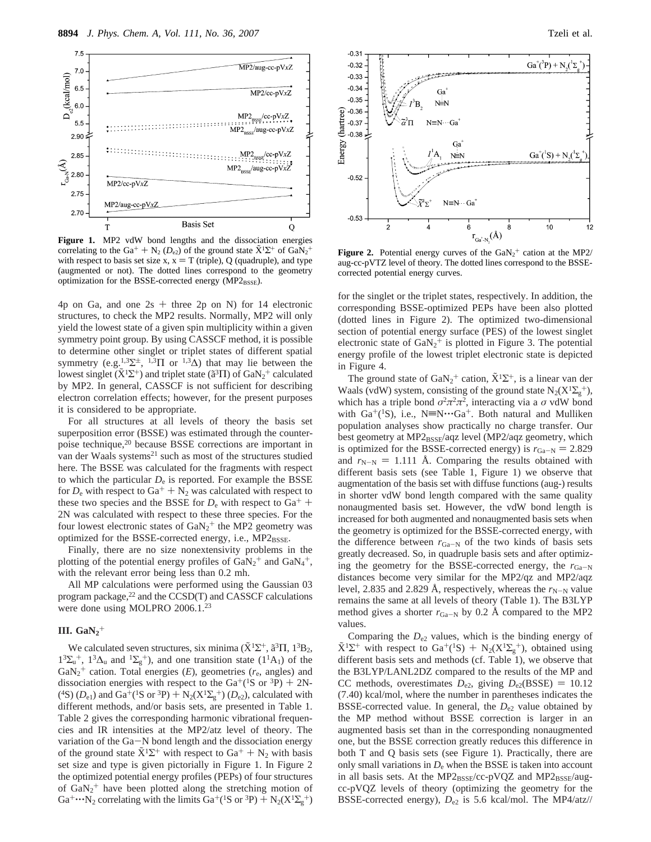

**Figure 1.** MP2 vdW bond lengths and the dissociation energies correlating to the Ga<sup>+</sup> + N<sub>2</sub> (*D*<sub>e2</sub>) of the ground state  $\tilde{X}^1\Sigma^+$  of GaN<sub>2</sub><sup>+</sup><br>with respect to basis set size x x = T (triple). O (quadruple) and type with respect to basis set size x,  $x = T$  (triple), Q (quadruple), and type (augmented or not). The dotted lines correspond to the geometry optimization for the BSSE-corrected energy (MP2BSSE).

4p on Ga, and one  $2s + th$ ree  $2p$  on N) for 14 electronic structures, to check the MP2 results. Normally, MP2 will only yield the lowest state of a given spin multiplicity within a given symmetry point group. By using CASSCF method, it is possible to determine other singlet or triplet states of different spatial symmetry (e.g.<sup>1,3</sup> $\Sigma^{\pm}$ , <sup>1,3</sup> $\Pi$  or <sup>1,3</sup> $\Delta$ ) that may lie between the lowest singlet  $(\tilde{X}^1\Sigma^+)$  and triplet state ( $\tilde{a}^3\Pi$ ) of GaN<sub>2</sub><sup>+</sup> calculated<br>by MP2. In general, CASSCE is not sufficient for describing by MP2. In general, CASSCF is not sufficient for describing electron correlation effects; however, for the present purposes it is considered to be appropriate.

For all structures at all levels of theory the basis set superposition error (BSSE) was estimated through the counterpoise technique,<sup>20</sup> because BSSE corrections are important in van der Waals systems $^{21}$  such as most of the structures studied here. The BSSE was calculated for the fragments with respect to which the particular  $D<sub>e</sub>$  is reported. For example the BSSE for  $D_e$  with respect to  $Ga^+ + N_2$  was calculated with respect to these two species and the BSSE for  $D_e$  with respect to  $Ga^+$  + 2N was calculated with respect to these three species. For the four lowest electronic states of  $\text{GaN}_2^+$  the MP2 geometry was optimized for the BSSE-corrected energy, i.e., MP2BSSE.

Finally, there are no size nonextensivity problems in the plotting of the potential energy profiles of  $GaN_2^+$  and  $GaN_4^+$ , with the relevant error being less than 0.2 mh.

All MP calculations were performed using the Gaussian 03 program package, $^{22}$  and the CCSD(T) and CASSCF calculations were done using MOLPRO 2006.1.<sup>23</sup>

## **III.** GaN<sub>2</sub><sup>+</sup>

We calculated seven structures, six minima ( $\tilde{X}^1\Sigma^+$ ,  $\tilde{a}^3\Pi$ ,  $1^3B_2$ ,  $1^3\Sigma_u^+$ ,  $1^3\Delta_u$  and  $1\Sigma_g^+$ ), and one transition state ( $1^1A_1$ ) of the GaN2 <sup>+</sup> cation. Total energies (*E*), geometries (*r*e, angles) and dissociation energies with respect to the  $Ga^{+(1}S$  or <sup>3</sup>P) + 2N-(<sup>4</sup>S)  $(D_{e1})$  and  $Ga^{+}(^{1}S \text{ or } ^{3}P) + N_2(X^{1}\Sigma_g^{+})$   $(D_{e2})$ , calculated with different methods and/or basis sets are presented in Table 1 different methods, and/or basis sets, are presented in Table 1. Table 2 gives the corresponding harmonic vibrational frequencies and IR intensities at the MP2/atz level of theory. The variation of the Ga-N bond length and the dissociation energy of the ground state  $\tilde{X}^1\Sigma^+$  with respect to  $Ga^+ + N_2$  with basis set size and type is given pictorially in Figure 1. In Figure 2 the optimized potential energy profiles (PEPs) of four structures of  $GaN_2$ <sup>+</sup> have been plotted along the stretching motion of  $Ga^+ \cdots N_2$  correlating with the limits  $Ga^+(S \text{ or }^3P) + N_2(X^1\Sigma_g^+)$ 



**Figure 2.** Potential energy curves of the  $GaN_2$ <sup>+</sup> cation at the MP2/ aug-cc-pVTZ level of theory. The dotted lines correspond to the BSSEcorrected potential energy curves.

for the singlet or the triplet states, respectively. In addition, the corresponding BSSE-optimized PEPs have been also plotted (dotted lines in Figure 2). The optimized two-dimensional section of potential energy surface (PES) of the lowest singlet electronic state of  $\text{GaN}_2^+$  is plotted in Figure 3. The potential energy profile of the lowest triplet electronic state is depicted in Figure 4.

The ground state of  $\text{GaN}_2^+$  cation,  $\tilde{X}^1\Sigma^+$ , is a linear van der aals (vdW) system, consisting of the ground state  $N_2(Y\Sigma^+)$ Waals (vdW) system, consisting of the ground state  $N_2(X^1\Sigma_g^+)$ , which has a triple bond  $\sigma^2 \pi^2 \pi^2$ , interacting via a  $\sigma$  vdW bond with Ga<sup>+</sup>(<sup>1</sup>S), i.e., N=N…Ga<sup>+</sup>. Both natural and Mulliken population analyses show practically no charge transfer. Our best geometry at MP2<sub>BSSE</sub>/aqz level (MP2/aqz geometry, which is optimized for the BSSE-corrected energy) is  $r_{Ga-N} = 2.829$ and  $r_{N-N} = 1.111$  Å. Comparing the results obtained with different basis sets (see Table 1, Figure 1) we observe that augmentation of the basis set with diffuse functions (aug-) results in shorter vdW bond length compared with the same quality nonaugmented basis set. However, the vdW bond length is increased for both augmented and nonaugmented basis sets when the geometry is optimized for the BSSE-corrected energy, with the difference between  $r_{Ga-N}$  of the two kinds of basis sets greatly decreased. So, in quadruple basis sets and after optimizing the geometry for the BSSE-corrected energy, the  $r_{Ga-N}$ distances become very similar for the MP2/qz and MP2/aqz level, 2.835 and 2.829 Å, respectively, whereas the  $r_{N-N}$  value remains the same at all levels of theory (Table 1). The B3LYP method gives a shorter  $r_{Ga-N}$  by 0.2 Å compared to the MP2 values.

Comparing the *D*e2 values, which is the binding energy of  $\tilde{X}^1\Sigma^+$  with respect to  $Ga^+(S) + N_2(X^1\Sigma_g^+)$ , obtained using different basis sets and methods (cf. Table 1), we observe that different basis sets and methods (cf. Table 1), we observe that the B3LYP/LANL2DZ compared to the results of the MP and CC methods, overestimates  $D_{e2}$ , giving  $D_{e2}(BSSE) = 10.12$ (7.40) kcal/mol, where the number in parentheses indicates the BSSE-corrected value. In general, the *D*e2 value obtained by the MP method without BSSE correction is larger in an augmented basis set than in the corresponding nonaugmented one, but the BSSE correction greatly reduces this difference in both T and Q basis sets (see Figure 1). Practically, there are only small variations in  $D<sub>e</sub>$  when the BSSE is taken into account in all basis sets. At the  $MP2_{BSSE}/cc-pVQZ$  and  $MP2_{BSSE}/aug$ cc-pVQZ levels of theory (optimizing the geometry for the BSSE-corrected energy), *D*e2 is 5.6 kcal/mol. The MP4/atz//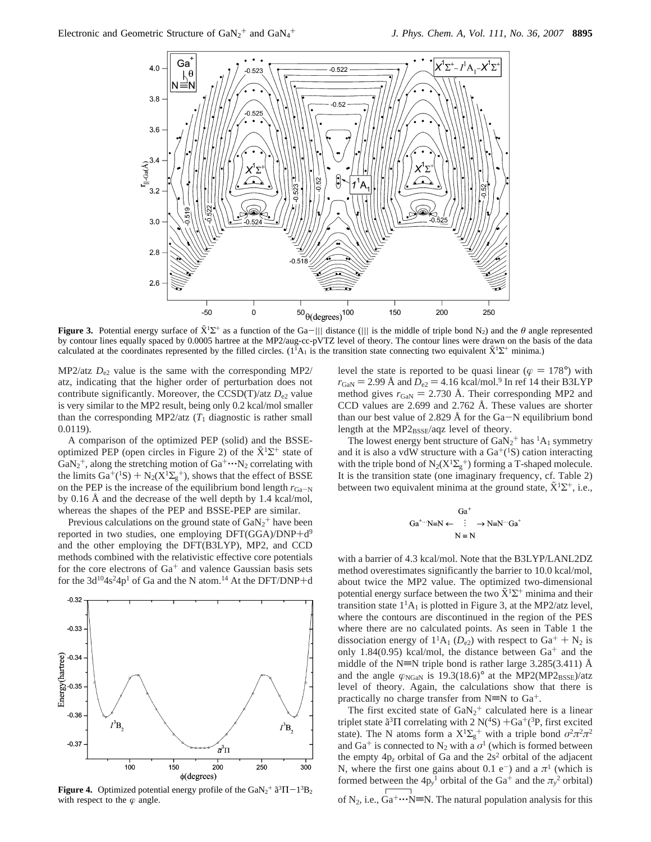

**Figure 3.** Potential energy surface of  $\tilde{X}^1\Sigma^+$  as a function of the Ga-||| distance (||| is the middle of triple bond N<sub>2</sub>) and the  $\theta$  angle represented by contour lines equally spaced by 0.0005 hartree at the MP2/aug-cc-pVTZ level of theory. The contour lines were drawn on the basis of the data calculated at the coordinates represented by the filled circles. ( $1^1A_1$  is the transition state connecting two equivalent  $\tilde{X}^1\Sigma^+$  minima.)

MP2/atz *D*e2 value is the same with the corresponding MP2/ atz, indicating that the higher order of perturbation does not contribute significantly. Moreover, the  $CCSD(T)/\text{atz }D_{e2}$  value is very similar to the MP2 result, being only 0.2 kcal/mol smaller than the corresponding MP2/atz  $(T_1)$  diagnostic is rather small 0.0119).

A comparison of the optimized PEP (solid) and the BSSEoptimized PEP (open circles in Figure 2) of the  $\tilde{X}^1\Sigma^+$  state of GaN<sub>2</sub><sup>+</sup>, along the stretching motion of Ga<sup>+</sup>···N<sub>2</sub> correlating with<br>the limits Ga<sup>+</sup>(<sup>1</sup>S) + N<sub>2</sub>(X<sup>1</sup>N<sup>+</sup>) shows that the effect of BSSE the limits  $Ga^+(^1S) + N_2(X^1\Sigma_g^+)$ , shows that the effect of BSSE<br>on the PFP is the increase of the equilibrium bond length  $r_S$ . on the PEP is the increase of the equilibrium bond length  $r_{Ga-N}$ by 0.16 Å and the decrease of the well depth by 1.4 kcal/mol, whereas the shapes of the PEP and BSSE-PEP are similar.

Previous calculations on the ground state of  $\text{GaN}_2^+$  have been reported in two studies, one employing  $DFT(GGA)/DNP+d^9$ and the other employing the DFT(B3LYP), MP2, and CCD methods combined with the relativistic effective core potentials for the core electrons of  $Ga<sup>+</sup>$  and valence Gaussian basis sets for the 3d<sup>10</sup>4s<sup>2</sup>4p<sup>1</sup> of Ga and the N atom.<sup>14</sup> At the DFT/DNP+d



**Figure 4.** Optimized potential energy profile of the  $\text{GaN}_2^+$   $\tilde{a}^3\Pi - 1^3\text{B}_2$ <br>with respect to the  $\omega$  angle with respect to the  $\varphi$  angle.

level the state is reported to be quasi linear ( $\varphi = 178^{\circ}$ ) with  $r_{\text{GAN}} = 2.99$  Å and  $D_{e2} = 4.16$  kcal/mol.<sup>9</sup> In ref 14 their B3LYP method gives  $r_{\text{GAN}} = 2.730$  Å. Their corresponding MP2 and CCD values are 2.699 and 2.762 Å. These values are shorter than our best value of 2.829 Å for the Ga-N equilibrium bond length at the  $MP2_{BSE}/aqz$  level of theory.

The lowest energy bent structure of  $GaN_2^+$  has  ${}^{1}A_1$  symmetry and it is also a vdW structure with a  $Ga^{+(1)}S$ ) cation interacting with the triple bond of  $N_2(X^1\Sigma_g^+)$  forming a T-shaped molecule. It is the transition state (one imaginary frequency, cf. Table 2) between two equivalent minima at the ground state,  $X^1\Sigma^+$ , i.e.,

$$
\begin{aligned} \mathrm{Ga}^+ \\ \mathrm{Ga}^+ \\ \mathrm{Na}^+ \\ \mathrm{Ne} \\ \mathrm{Ne} \\ \mathrm{Ne} \\ \mathrm{Ne} \\ \mathrm{Ne} \\ \mathrm{Ne} \\ \mathrm{Ne} \\ \mathrm{Ne} \\ \mathrm{Ne} \\ \mathrm{Ne} \\ \mathrm{Ne} \\ \mathrm{Ne} \\ \mathrm{Ne} \\ \mathrm{Ne} \\ \mathrm{Ne} \\ \mathrm{Ne} \\ \mathrm{Ne} \\ \mathrm{Ne} \\ \mathrm{Ne} \\ \mathrm{Ne} \\ \mathrm{Ne} \\ \mathrm{Ne} \\ \mathrm{Ne} \\ \mathrm{Ne} \\ \mathrm{Ne} \\ \mathrm{Ne} \\ \mathrm{Ne} \\ \mathrm{Ne} \\ \mathrm{Ne} \\ \mathrm{Ne} \\ \mathrm{Ne} \\ \mathrm{Ne} \\ \mathrm{Ne} \\ \mathrm{Ne} \\ \mathrm{Ne} \\ \mathrm{Ne} \\ \mathrm{Ne} \\ \mathrm{Ne} \\ \mathrm{Ne} \\ \mathrm{Ne} \\ \mathrm{Ne} \\ \mathrm{Ne} \\ \mathrm{Ne} \\ \mathrm{Ne} \\ \mathrm{Ne} \\ \mathrm{Ne} \\ \mathrm{Ne} \\ \mathrm{Ne} \\ \mathrm{Ne} \\ \mathrm{Ne} \\ \mathrm{Ne} \\ \mathrm{Ne} \\ \mathrm{Ne} \\ \mathrm{Ne} \\ \mathrm{Ne} \\ \mathrm{Ne} \\ \mathrm{Ne} \\ \mathrm{Ne} \\ \mathrm{Ne} \\ \mathrm{Ne} \\ \mathrm{Ne} \\ \mathrm{Ne} \\ \mathrm{Ne} \\ \mathrm{Ne} \\ \mathrm{Ne} \\ \mathrm{Ne} \\ \mathrm{Ne} \\ \mathrm{Ne} \\ \mathrm{Ne} \\ \mathrm{Ne} \\ \mathrm{Ne} \\ \mathrm{Ne} \\ \mathrm{Ne} \\ \mathrm{Ne} \\ \mathrm{Ne} \\ \mathrm{Ne} \\ \mathrm{Ne} \\ \mathrm{Ne} \\ \mathrm{Ne} \\ \mathrm{Ne} \\ \mathrm{Ne} \\ \mathrm{Ne} \\ \mathrm{Ne} \\ \mathrm{Ne} \\ \mathrm{Ne} \\ \mathrm{Ne} \\ \mathrm{Ne} \\ \mathrm{Ne} \\ \mathrm{Ne} \\ \mathrm{Ne} \\ \mathrm{Ne} \\ \mathrm{Ne} \\ \mathrm{Ne} \\ \mathrm{Ne} \\ \mathrm{Ne} \\ \mathrm{Ne} \\ \mathrm{Ne} \\ \mathrm{Ne} \\ \mathrm{Ne} \\ \mathrm{Ne} \\ \mathrm{Ne} \\ \mathrm{Ne} \\ \mathrm{Ne} \\ \mathrm{Ne} \\ \mathrm{Ne} \\ \mathrm{Ne} \\ \mathrm{Ne} \\ \mathrm{Ne} \\ \mathrm{Ne} \\ \mathrm{Ne} \\ \mathrm{Ne} \\ \mathrm{Ne} \\ \mathrm{Ne} \\ \mathrm{Ne} \\ \mathrm{Ne} \\ \mathrm{Ne} \\ \mathrm{Ne} \\ \mathrm{Ne} \\ \mathrm{Ne} \\ \mathrm{Ne} \\ \mathrm{Ne} \\ \mathrm{Ne}
$$

with a barrier of 4.3 kcal/mol. Note that the B3LYP/LANL2DZ method overestimates significantly the barrier to 10.0 kcal/mol, about twice the MP2 value. The optimized two-dimensional potential energy surface between the two  $\tilde{X}^1\Sigma^+$  minima and their transition state  $1<sup>1</sup>A<sub>1</sub>$  is plotted in Figure 3, at the MP2/atz level, where the contours are discontinued in the region of the PES where there are no calculated points. As seen in Table 1 the dissociation energy of  $1^1A_1$  (*D*<sub>e2</sub>) with respect to Ga<sup>+</sup> + N<sub>2</sub> is only 1.84(0.95) kcal/mol, the distance between  $Ga<sup>+</sup>$  and the middle of the N $\equiv$ N triple bond is rather large 3.285(3.411) Å and the angle  $\varphi_{\text{NGaN}}$  is 19.3(18.6)° at the MP2(MP2<sub>BSSE</sub>)/atz level of theory. Again, the calculations show that there is practically no charge transfer from  $N=N$  to  $Ga^{+}$ .

The first excited state of  $\text{GaN}_2^+$  calculated here is a linear triplet state  $\tilde{a}^{3}\Pi$  correlating with 2 N(<sup>4</sup>S) +Ga<sup>+</sup>(<sup>3</sup>P, first excited state). The N atoms form a  $X^1\Sigma_g^+$  with a triple bond  $\sigma^2 \pi^2 \pi^2$ and  $Ga<sup>+</sup>$  is connected to N<sub>2</sub> with a  $\sigma<sup>1</sup>$  (which is formed between the empty  $4p<sub>z</sub>$  orbital of Ga and the  $2s<sup>2</sup>$  orbital of the adjacent N, where the first one gains about 0.1 e<sup>-</sup>) and a  $\pi$ <sup>1</sup> (which is formed between the  $4p_y$ <sup>1</sup> orbital of the  $Ga^+$  and the  $\pi_y^2$  orbital)

of N<sub>2</sub>, i.e.,  $Ga^+ \cdot \cdot \cdot N \equiv N$ . The natural population analysis for this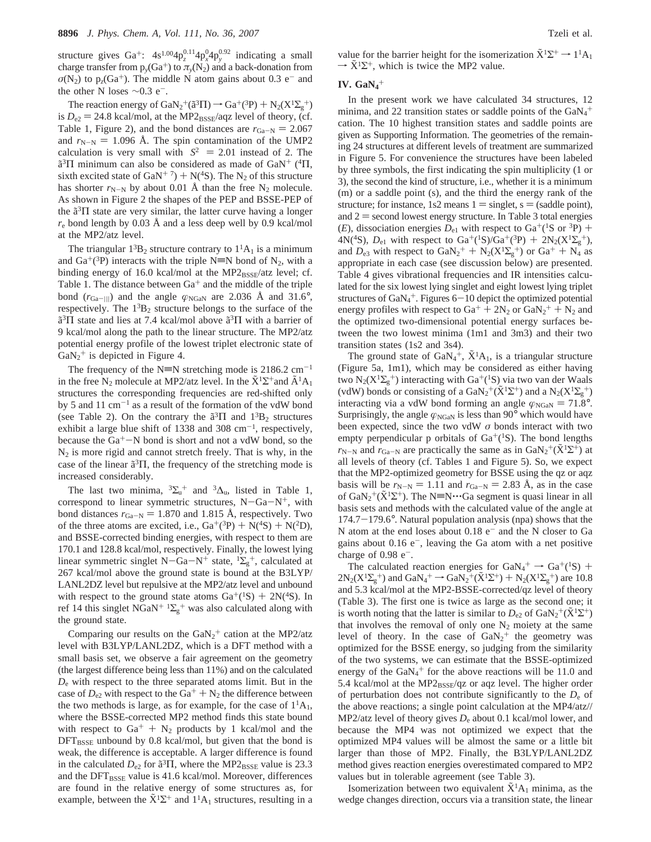structure gives Ga<sup>+</sup>:  $4s^{1.00}4p_z^{0.11}4p_x^{0.4}p_y^{0.92}$  indicating a small charge transfer from  $p_y(Ga^+)$  to  $\pi_y(N_2)$  and a back-donation from  $\sigma(N_2)$  to  $p_z(Ga^+)$ . The middle N atom gains about 0.3 e<sup>-</sup> and the other N loses  $\sim 0.3$  e<sup>-</sup>.

The reaction energy of  $\text{Gal}_2^+(\tilde{a}^3\Pi) \rightarrow \text{Gal}^+(\tilde{3}P) + \text{N}_2(\text{X}^1\Sigma_g^+)$ <br>  $D_{\tilde{a}} = 24.8 \text{ kcal/mol}$  at the MP2<sub>0000</sub>/agz level of theory (cf. is  $D_{e2} = 24.8$  kcal/mol, at the MP2<sub>BSSE</sub>/aqz level of theory, (cf. Table 1, Figure 2), and the bond distances are  $r_{Ga-N} = 2.067$ and  $r_{N-N} = 1.096$  Å. The spin contamination of the UMP2 calculation is very small with  $\langle S^2 \rangle = 2.01$  instead of 2. The  $\tilde{a}^3\Pi$  minimum can also be considered as made of GaN<sup>+</sup> (<sup>4</sup> $\Pi$ , sixth excited state of GaN<sup>+ 7</sup>) + N(<sup>4</sup>S). The N<sub>2</sub> of this structure has shorter  $r_{N-N}$  by about 0.01 Å than the free  $N_2$  molecule. As shown in Figure 2 the shapes of the PEP and BSSE-PEP of the  $\tilde{a}^3\Pi$  state are very similar, the latter curve having a longer *r*<sup>e</sup> bond length by 0.03 Å and a less deep well by 0.9 kcal/mol at the MP2/atz level.

The triangular  $1^{3}B_{2}$  structure contrary to  $1^{1}A_{1}$  is a minimum and Ga<sup>+</sup>(<sup>3</sup>P) interacts with the triple N=N bond of N<sub>2</sub>, with a binding energy of 16.0 kcal/mol at the MP2BSSE/atz level; cf. Table 1. The distance between  $Ga<sup>+</sup>$  and the middle of the triple bond ( $r_{Ga-||}$ ) and the angle  $\varphi_{NGaN}$  are 2.036 Å and 31.6°, respectively. The  $1<sup>3</sup>B<sub>2</sub>$  structure belongs to the surface of the  $\tilde{a}^{3}\Pi$  state and lies at 7.4 kcal/mol above  $\tilde{a}^{3}\Pi$  with a barrier of 9 kcal/mol along the path to the linear structure. The MP2/atz potential energy profile of the lowest triplet electronic state of  $GaN_2$ <sup>+</sup> is depicted in Figure 4.

The frequency of the N=N stretching mode is 2186.2 cm<sup>-1</sup> in the free N<sub>2</sub> molecule at MP2/atz level. In the  $X^1\Sigma^+$  and  $A^1A_1$ structures the corresponding frequencies are red-shifted only by 5 and 11  $cm^{-1}$  as a result of the formation of the vdW bond (see Table 2). On the contrary the  $\tilde{a}^3\Pi$  and  $1^3B_2$  structures exhibit a large blue shift of 1338 and 308  $cm^{-1}$ , respectively, because the  $Ga^+$ -N bond is short and not a vdW bond, so the  $N_2$  is more rigid and cannot stretch freely. That is why, in the case of the linear  $\tilde{a}^{3}\Pi$ , the frequency of the stretching mode is increased considerably.

The last two minima,  ${}^{3}\Sigma_{u}^{+}$  and  ${}^{3}\Delta_{u}$ , listed in Table 1, correspond to linear symmetric structures,  $N-Ga-N^{+}$ , with bond distances  $r_{Ga-N} = 1.870$  and 1.815 Å, respectively. Two of the three atoms are excited, i.e.,  $Ga^{+(3}P) + N(^{4}S) + N(^{2}D)$ , and BSSE-corrected binding energies, with respect to them are 170.1 and 128.8 kcal/mol, respectively. Finally, the lowest lying linear symmetric singlet N-Ga-N<sup>+</sup> state,  ${}^{1}\Sigma_{g}^{+}$ , calculated at 267 kcal/mol above the ground state is bound at the B3I YP/ 267 kcal/mol above the ground state is bound at the B3LYP/ LANL2DZ level but repulsive at the MP2/atz level and unbound with respect to the ground state atoms  $Ga^{+(1)}S + 2N(^{4}S)$ . In ref 14 this singlet NGaN<sup>+ 1</sup> $\Sigma$ <sub>g</sub><sup>+</sup> was also calculated along with the ground state.

Comparing our results on the  $\text{GaN}_2^+$  cation at the MP2/atz level with B3LYP/LANL2DZ, which is a DFT method with a small basis set, we observe a fair agreement on the geometry (the largest difference being less than 11%) and on the calculated *D*<sup>e</sup> with respect to the three separated atoms limit. But in the case of  $D_{e2}$  with respect to the  $Ga^+ + N_2$  the difference between the two methods is large, as for example, for the case of  $1<sup>1</sup>A<sub>1</sub>$ , where the BSSE-corrected MP2 method finds this state bound with respect to  $Ga^{+} + N_{2}$  products by 1 kcal/mol and the  $DFT_{BSSE}$  unbound by 0.8 kcal/mol, but given that the bond is weak, the difference is acceptable. A larger difference is found in the calculated  $D_{e2}$  for  $\tilde{a}^{3}\Pi$ , where the MP2<sub>BSSE</sub> value is 23.3 and the  $DFT_{BSSE}$  value is 41.6 kcal/mol. Moreover, differences are found in the relative energy of some structures as, for example, between the  $\tilde{X}^1\Sigma^+$  and  $1^1A_1$  structures, resulting in a value for the barrier height for the isomerization  $\tilde{X}^1\Sigma^+ \rightarrow 1^1A_1$  $\rightarrow$  X<sup>1</sup> $\Sigma$ <sup>+</sup>, which is twice the MP2 value.

# **IV. GaN4** +

In the present work we have calculated 34 structures, 12 minima, and 22 transition states or saddle points of the  $GaN_4$ <sup>+</sup> cation. The 10 highest transition states and saddle points are given as Supporting Information. The geometries of the remaining 24 structures at different levels of treatment are summarized in Figure 5. For convenience the structures have been labeled by three symbols, the first indicating the spin multiplicity (1 or 3), the second the kind of structure, i.e., whether it is a minimum (m) or a saddle point (s), and the third the energy rank of the structure; for instance, 1s2 means  $1 =$  singlet, s  $=$  (saddle point), and  $2$  = second lowest energy structure. In Table 3 total energies (*E*), dissociation energies  $D_{e1}$  with respect to Ga<sup>+</sup>(<sup>1</sup>S or <sup>3</sup>P) +  $4N(^{4}S)$ ,  $D_{e1}$  with respect to  $Ga^{+}(^{1}S)/Ga^{+}(^{3}P) + 2N_{2}(X^{1}\Sigma_{g}^{+})$ ,<br>and  $D_{e2}$  with respect to  $Ga^{N_{e}+} + N_{2}(X^{1}\Sigma_{g}^{+})$  or  $Ga^{+} + N_{e}$  as and  $D_{e3}$  with respect to  $\text{Gal}_2^+ + \text{N}_2(\text{X}^1\Sigma_g^+)$  or  $\text{Gal}^+ + \text{N}_4$  as appropriate in each case (see discussion below) are presented. Table 4 gives vibrational frequencies and IR intensities calculated for the six lowest lying singlet and eight lowest lying triplet structures of GaN<sub>4</sub><sup>+</sup>. Figures 6–10 depict the optimized potential<br>energy profiles with respect to  $Ga^{+} + 2N_2$  or  $GaN_2^{+} + N_2$  and energy profiles with respect to  $Ga^+ + 2N_2$  or  $GaN_2^+ + N_2$  and<br>the optimized two-dimensional potential energy surfaces bethe optimized two-dimensional potential energy surfaces between the two lowest minima (1m1 and 3m3) and their two transition states (1s2 and 3s4).

The ground state of  $\text{GaN}_4^+$ ,  $\bar{\text{X}}^1\text{A}_1$ , is a triangular structure  $\text{Ga}$  and  $\text{Ba}$  is a triangular structure (Figure 5a, 1m1), which may be considered as either having two  $N_2(X^1\Sigma_g^+)$  interacting with  $Ga^+(^1S)$  via two van der Waals (vdW) bonds or consisting of a GaN<sub>2</sub><sup>+</sup>( $\tilde{X}^1\Sigma^+$ ) and a N<sub>2</sub>( $X^1\Sigma_g^+$ ) interacting via a vdW bond forming an angle  $\mathcal{C}_{N} = 71.8^\circ$ interacting via a vdW bond forming an angle  $\varphi_{\text{NGaN}} = 71.8^{\circ}$ . Surprisingly, the angle  $\varphi_{\text{NGaN}}$  is less than 90 $^{\circ}$  which would have been expected, since the two vdW *σ* bonds interact with two empty perpendicular p orbitals of  $Ga^{+(1)}S$ ). The bond lengths  $r_{\rm N-N}$  and  $r_{\rm Ga-N}$  are practically the same as in  $\rm GaN_2^+(X^1\Sigma^+)$  at  $\rm aII$  levels of theory (cf. Tables 1 and Figure 5). So, we expect all levels of theory (cf. Tables 1 and Figure 5). So, we expect that the MP2-optimized geometry for BSSE using the qz or aqz basis will be  $r_{N-N} = 1.11$  and  $r_{Ga-N} = 2.83$  Å, as in the case of GaN<sub>2</sub><sup>+</sup>( $\tilde{X}^1\Sigma$ <sup>+</sup>). The N=N $\cdots$ Ga segment is quasi linear in all<br>basis sets and methods with the calculated value of the angle at basis sets and methods with the calculated value of the angle at 174.7-179.6°. Natural population analysis (npa) shows that the N atom at the end loses about  $0.18$  e<sup>-</sup> and the N closer to Ga gains about  $0.16$  e<sup>-</sup>, leaving the Ga atom with a net positive charge of  $0.98$  e<sup>-</sup>.

The calculated reaction energies for  $\text{Ga}^+\text{Na}^+ \rightarrow \text{Ga}^+(S)$  +  $\text{Ga}^+\text{Ca}^+\text{Na}^+$  $2N_2(X^1\Sigma_g^+)$  and  $GaN_4^+ \rightarrow GaN_2^+(\tilde{X}^1\Sigma_f^+) + N_2(X^1\Sigma_g^+)$  are 10.8<br>and 5.3 kcal/mol at the MP2-RSSE-corrected/az level of theory and 5.3 kcal/mol at the MP2-BSSE-corrected/qz level of theory (Table 3). The first one is twice as large as the second one; it is worth noting that the latter is similar to  $D_{e2}$  of  $\text{Gal}_2^+(\tilde{X}^1\Sigma^+)$ <br>that involves the removal of only one N<sub>2</sub> moiety at the same that involves the removal of only one  $N_2$  moiety at the same level of theory. In the case of  $GaN_2$ <sup>+</sup> the geometry was optimized for the BSSE energy, so judging from the similarity of the two systems, we can estimate that the BSSE-optimized energy of the  $GaN_4$ <sup>+</sup> for the above reactions will be 11.0 and 5.4 kcal/mol at the  $MP2_{BSSE}/qz$  or aqz level. The higher order of perturbation does not contribute significantly to the  $D_e$  of the above reactions; a single point calculation at the MP4/atz// MP2/atz level of theory gives *D*<sup>e</sup> about 0.1 kcal/mol lower, and because the MP4 was not optimized we expect that the optimized MP4 values will be almost the same or a little bit larger than those of MP2. Finally, the B3LYP/LANL2DZ method gives reaction energies overestimated compared to MP2 values but in tolerable agreement (see Table 3).

Isomerization between two equivalent  $\tilde{X}^{1}A_{1}$  minima, as the wedge changes direction, occurs via a transition state, the linear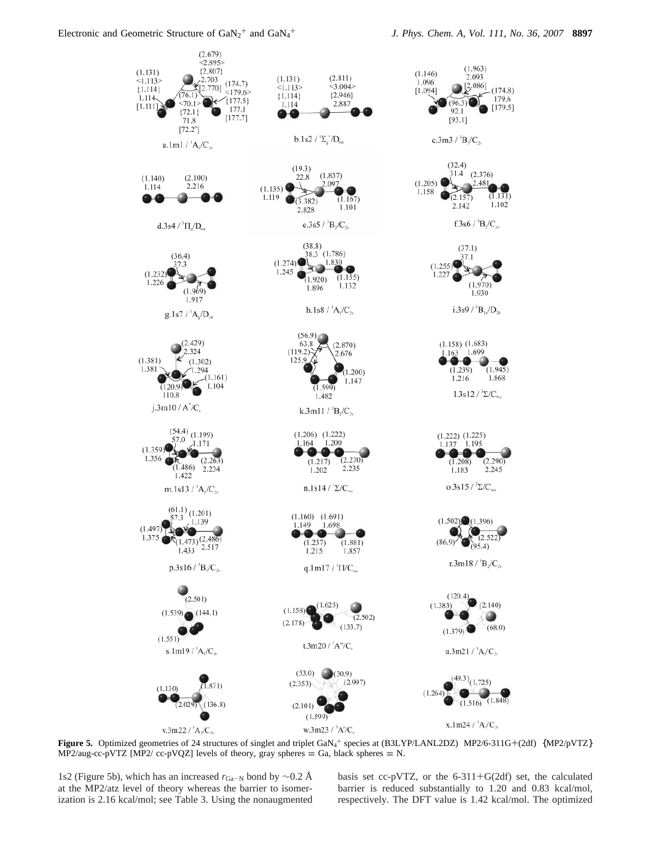

**Figure 5.** Optimized geometries of 24 structures of singlet and triplet GaN<sub>4</sub><sup>+</sup> species at (B3LYP/LANL2DZ)  $\langle MP2/6-311G+(2df)\rangle$   $\{MP2/pVTZ\}$ <br>MP2/aug-cc-pVTZ [MP2/ cc-pVOZ] levels of theory gray spheres = Ga black spheres =  $\overline{MP2}/\text{aug-cc-pVTZ}$  [MP2/ cc-pVQZ] levels of theory, gray spheres  $\equiv$  Ga, black spheres  $\equiv$  N.

1s2 (Figure 5b), which has an increased  $r_{Ga-N}$  bond by ∼0.2 Å at the MP2/atz level of theory whereas the barrier to isomerization is 2.16 kcal/mol; see Table 3. Using the nonaugmented basis set cc-pVTZ, or the  $6-311+G(2df)$  set, the calculated barrier is reduced substantially to 1.20 and 0.83 kcal/mol, respectively. The DFT value is 1.42 kcal/mol. The optimized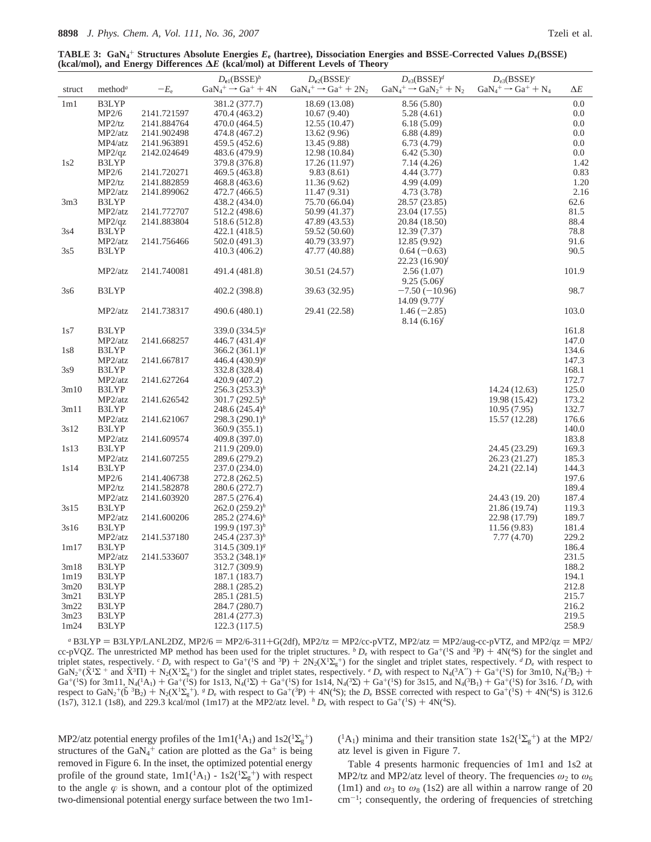**TABLE 3: GaN4** <sup>+</sup> **Structures Absolute Energies** *E***<sup>e</sup> (hartree), Dissociation Energies and BSSE-Corrected Values** *D***e(BSSE) (kcal/mol), and Energy Differences ∆***E* **(kcal/mol) at Different Levels of Theory**

|        |                     |              | $D_{e1}(BSE)^b$                 | $D_{e2}$ (BSSE) <sup>c</sup>      | $D_{e3}$ (BSSE) <sup>d</sup>                             | $D_{e3}$ (BSSE) <sup>e</sup>     |            |
|--------|---------------------|--------------|---------------------------------|-----------------------------------|----------------------------------------------------------|----------------------------------|------------|
| struct | method <sup>a</sup> | $-E_{\rm e}$ | $GaN_4^+ \rightarrow Ga^+ + 4N$ | $GaN_4^+ \rightarrow Ga^+ + 2N_2$ | $\text{GaN}_4^+ \rightarrow \text{GaN}_2^+ + \text{N}_2$ | $GaN_4^+ \rightarrow Ga^+ + N_4$ | $\Delta E$ |
| 1m1    | B3LYP               |              | 381.2 (377.7)                   | 18.69 (13.08)                     | 8.56(5.80)                                               |                                  | 0.0        |
|        | MP2/6               | 2141.721597  | 470.4 (463.2)                   | 10.67(9.40)                       | 5.28(4.61)                                               |                                  | 0.0        |
|        | MP2/tz              | 2141.884764  | 470.0 (464.5)                   | 12.55(10.47)                      | 6.18(5.09)                                               |                                  | $0.0\,$    |
|        | MP2/atz             | 2141.902498  | 474.8 (467.2)                   | 13.62 (9.96)                      | 6.88(4.89)                                               |                                  | 0.0        |
|        | MP4/atz             | 2141.963891  | 459.5 (452.6)                   | 13.45 (9.88)                      | 6.73(4.79)                                               |                                  | $0.0\,$    |
|        | MP2/qz              | 2142.024649  | 483.6 (479.9)                   | 12.98 (10.84)                     | 6.42(5.30)                                               |                                  | $0.0\,$    |
| 1s2    | B3LYP               |              | 379.8 (376.8)                   | 17.26 (11.97)                     | 7.14 (4.26)                                              |                                  | 1.42       |
|        | MP2/6               | 2141.720271  | 469.5 (463.8)                   | 9.83(8.61)                        | 4.44 (3.77)                                              |                                  | 0.83       |
|        | MP2/tz              | 2141.882859  | 468.8 (463.6)                   | 11.36(9.62)                       | 4.99(4.09)                                               |                                  | 1.20       |
|        | MP2/atz             | 2141.899062  | 472.7 (466.5)                   | 11.47(9.31)                       | 4.73 (3.78)                                              |                                  | 2.16       |
| 3m3    | B3LYP               |              | 438.2 (434.0)                   | 75.70 (66.04)                     | 28.57 (23.85)                                            |                                  | 62.6       |
|        | MP2/atz             | 2141.772707  | 512.2 (498.6)                   | 50.99 (41.37)                     | 23.04 (17.55)                                            |                                  | 81.5       |
|        | MP2/qz              | 2141.883804  | 518.6 (512.8)                   | 47.89 (43.53)                     | 20.84 (18.50)                                            |                                  | 88.4       |
| 3s4    | B3LYP               |              | 422.1 (418.5)                   | 59.52 (50.60)                     | 12.39 (7.37)                                             |                                  | 78.8       |
|        | MP2/atz             | 2141.756466  | 502.0 (491.3)                   | 40.79 (33.97)                     | 12.85 (9.92)                                             |                                  | 91.6       |
| 3s5    | B3LYP               |              | 410.3 (406.2)                   | 47.77 (40.88)                     | $0.64(-0.63)$                                            |                                  | 90.5       |
|        |                     |              |                                 |                                   | 22.23(16.90)                                             |                                  |            |
|        | MP2/atz             | 2141.740081  | 491.4 (481.8)                   | 30.51 (24.57)                     | 2.56(1.07)                                               |                                  | 101.9      |
|        |                     |              |                                 |                                   | $9.25(5.06)^f$                                           |                                  |            |
| 3s6    | B3LYP               |              | 402.2 (398.8)                   | 39.63 (32.95)                     | $-7.50(-10.96)$                                          |                                  | 98.7       |
|        |                     |              |                                 |                                   | 14.09(9.77)                                              |                                  |            |
|        | MP2/atz             | 2141.738317  | 490.6 (480.1)                   | 29.41 (22.58)                     | $1.46(-2.85)$                                            |                                  | 103.0      |
|        |                     |              |                                 |                                   | 8.14(6.16)                                               |                                  |            |
| 1s7    | B3LYP               |              | 339.0 (334.5) <sup>8</sup>      |                                   |                                                          |                                  | 161.8      |
|        | MP2/atz             | 2141.668257  | 446.7 (431.4) <sup>8</sup>      |                                   |                                                          |                                  | 147.0      |
| 1s8    | B3LYP               |              | $366.2 (361.1)^{g}$             |                                   |                                                          |                                  | 134.6      |
|        | MP2/atz             | 2141.667817  | 446.4 (430.9) <sup>8</sup>      |                                   |                                                          |                                  | 147.3      |
| 3s9    | B3LYP               |              | 332.8 (328.4)                   |                                   |                                                          |                                  | 168.1      |
|        | MP2/atz             | 2141.627264  | 420.9 (407.2)                   |                                   |                                                          |                                  | 172.7      |
| 3m10   | B3LYP               |              | $256.3(253.3)^h$                |                                   |                                                          | 14.24 (12.63)                    | 125.0      |
|        | MP2/atz             | 2141.626542  | $301.7 (292.5)^h$               |                                   |                                                          | 19.98 (15.42)                    | 173.2      |
| 3m11   | B3LYP               |              | 248.6 $(245.4)^h$               |                                   |                                                          | 10.95(7.95)                      | 132.7      |
|        | MP2/atz             | 2141.621067  | $298.3 (290.1)^h$               |                                   |                                                          | 15.57 (12.28)                    | 176.6      |
| 3s12   | B3LYP               |              | 360.9 (355.1)                   |                                   |                                                          |                                  | 140.0      |
|        | MP2/atz             | 2141.609574  | 409.8 (397.0)                   |                                   |                                                          |                                  | 183.8      |
| 1s13   | B3LYP               |              | 211.9 (209.0)                   |                                   |                                                          | 24.45 (23.29)                    | 169.3      |
|        | MP2/atz             | 2141.607255  | 289.6 (279.2)                   |                                   |                                                          | 26.23 (21.27)                    | 185.3      |
| 1s14   | B3LYP               |              | 237.0 (234.0)                   |                                   |                                                          | 24.21 (22.14)                    | 144.3      |
|        | MP2/6               | 2141.406738  | 272.8 (262.5)                   |                                   |                                                          |                                  | 197.6      |
|        | MP2/tz              | 2141.582878  | 280.6 (272.7)                   |                                   |                                                          |                                  | 189.4      |
|        | MP2/atz             | 2141.603920  | 287.5 (276.4)                   |                                   |                                                          | 24.43 (19. 20)                   | 187.4      |
| 3s15   | B3LYP               |              | $262.0(259.2)^h$                |                                   |                                                          | 21.86 (19.74)                    | 119.3      |
|        | MP2/atz             | 2141.600206  | $285.2(274.6)^h$                |                                   |                                                          | 22.98 (17.79)                    | 189.7      |
| 3s16   | B3LYP               |              | $199.9(197.3)^n$                |                                   |                                                          | 11.56(9.83)                      | 181.4      |
|        | MP2/atz             | 2141.537180  | $245.4(237.3)^h$                |                                   |                                                          | 7.77(4.70)                       | 229.2      |
| 1m17   | B3LYP               |              | 314.5 (309.1) <sup>8</sup>      |                                   |                                                          |                                  | 186.4      |
|        | MP2/atz             | 2141.533607  | 353.2 $(348.1)^{8}$             |                                   |                                                          |                                  | 231.5      |
| 3m18   | B3LYP               |              | 312.7 (309.9)                   |                                   |                                                          |                                  | 188.2      |
| 1m19   | B3LYP               |              | 187.1 (183.7)                   |                                   |                                                          |                                  | 194.1      |
| 3m20   | B3LYP               |              | 288.1 (285.2)                   |                                   |                                                          |                                  | 212.8      |
| 3m21   | B3LYP               |              | 285.1 (281.5)                   |                                   |                                                          |                                  | 215.7      |
| 3m22   | B3LYP               |              | 284.7 (280.7)                   |                                   |                                                          |                                  | 216.2      |
| 3m23   | B3LYP               |              | 281.4 (277.3)                   |                                   |                                                          |                                  | 219.5      |
| 1m24   | B3LYP               |              | 122.3 (117.5)                   |                                   |                                                          |                                  | 258.9      |
|        |                     |              |                                 |                                   |                                                          |                                  |            |

*a* B3LYP = B3LYP/LANL2DZ, MP2/6 = MP2/6-311+G(2df), MP2/tz = MP2/cc-pVTZ, MP2/atz = MP2/aug-cc-pVTZ, and MP2/qz = MP2/ cc-pVQZ. The unrestricted MP method has been used for the triplet structures. *b*  $D_e$  with respect to Ga<sup>+</sup>(<sup>1</sup>S and <sup>3</sup>P) + 4N(<sup>4</sup>S) for the singlet and triplet states, respectively. <sup>*c*</sup>  $D_e$  with respect to Ga<sup>+</sup>(<sup>1</sup>S and <sup>3</sup>P) +  $2N_2(X^1\Sigma_g^+)$  for the singlet and triplet states, respectively. *d*<sup>1</sup> $D_e$  with respect to  $N_d(3A'') + Ga^+(3)$  for 3m10  $N_d(3B_0) + Ga^+(3)$  $\frac{GaN_2^+(X^1\Sigma + \text{and } X^3\Pi) + N_2(X^1\Sigma_g^+)}{Ga^+(S)\text{ for 3m11 } N_4(3S_2)}$  for the singlet and triplet states, respectively. *<sup>e</sup>D<sub>e</sub>* with respect to N<sub>4</sub>(3A'') + Ga<sup>+</sup>(<sup>1</sup>S) for 3m10, N<sub>4</sub>(3B<sub>2</sub>) + Ga<sup>+</sup>(1S) for 3m11, N<sub>4</sub>(3B<sub>2</sub>  $Ga^{+(1)}S$ ) for 3m11,  $N_4(^{1}A_1) + Ga^{+(1}S)$  for 1s13,  $N_4(^{1}\Sigma) + Ga^{+(1}S)$  for 1s14,  $N_4(^{3}\Sigma) + Ga^{+(1}S)$  for 3s15, and  $N_4(^{3}B_1) + Ga^{+(1}S)$  for 3s16.  ${}^fD_e$  with respect to  $Ga^{+(1}S) + N_2(S^1\Sigma_1 + S^2)$ , with respect to  $Ga^{+(1}$ respect to  $\text{GaN}_2^+(\vec{b}^3B_2) + \text{N}_2(\text{X}^1\Sigma_g^+)$ . *g D*<sub>e</sub> with respect to  $\text{Ga}^+(\text{3P}) + 4\text{N}(4\text{S})$ ; the *D*<sub>e</sub> BSSE corrected with respect to  $\text{Ga}^+(\text{S}) + 4\text{N}(4\text{S})$  is 312.6 (1s7) 312.1 (1s8) and 229.3 kcal (1s7), 312.1 (1s8), and 229.3 kcal/mol (1m17) at the MP2/atz level. <sup>*h*</sup>  $D_e$  with respect to  $Ga^+(S) + 4N(^4S)$ .

MP2/atz potential energy profiles of the  $1m1(^1A_1)$  and  $1s2(^1\Sigma_g^+)$ structures of the  $GaN_4$ <sup>+</sup> cation are plotted as the  $Ga$ <sup>+</sup> is being removed in Figure 6. In the inset, the optimized potential energy profile of the ground state,  $1m1({}^1A_1) - 1s2({}^1\Sigma_g^+)$  with respect to the angle  $\varphi$  is shown, and a contour plot of the optimized two-dimensional potential energy surface between the two 1m1-

 $({}^{1}A_{1})$  minima and their transition state  $1s2({}^{1}\Sigma_{g}^{+})$  at the MP2/ atz level is given in Figure 7.

Table 4 presents harmonic frequencies of 1m1 and 1s2 at MP2/tz and MP2/atz level of theory. The frequencies  $\omega_2$  to  $\omega_6$ (1m1) and  $\omega_3$  to  $\omega_8$  (1s2) are all within a narrow range of 20  $cm^{-1}$ ; consequently, the ordering of frequencies of stretching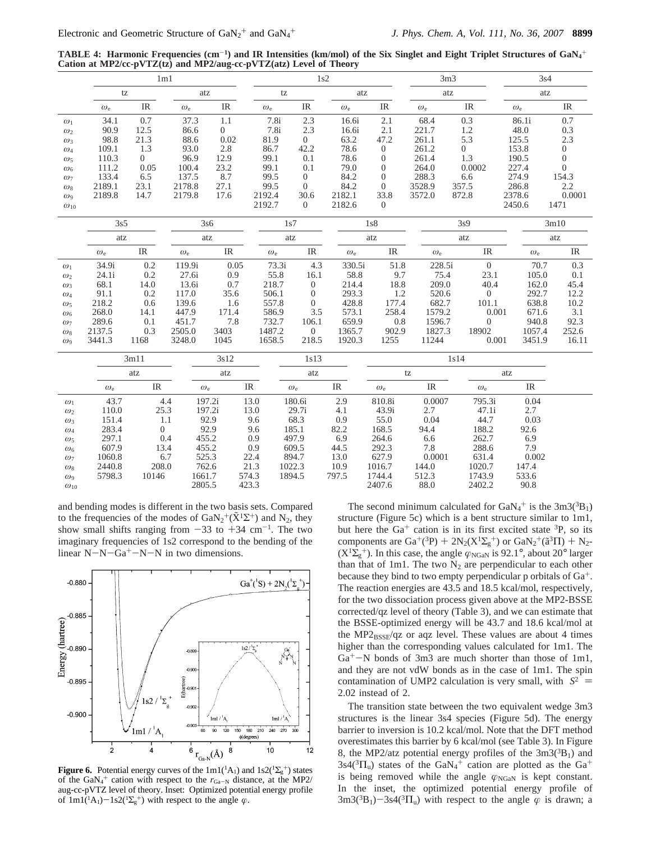TABLE 4: Harmonic Frequencies (cm<sup>-1</sup>) and IR Intensities (km/mol) of the Six Singlet and Eight Triplet Structures of GaN<sub>4</sub><sup>+</sup> **Cation at MP2/cc-pVTZ(tz) and MP2/aug-cc-pVTZ(atz) Level of Theory**

|                       |                  | 1m1                               |                  |                                   |                  | 1s2              |                  |                                   | 3m3              |                  | 3s4          |                  |  |
|-----------------------|------------------|-----------------------------------|------------------|-----------------------------------|------------------|------------------|------------------|-----------------------------------|------------------|------------------|--------------|------------------|--|
|                       | tz               |                                   |                  | atz                               |                  | tz               | atz              |                                   | atz              |                  |              | atz              |  |
|                       | $\omega_{e}$     | IR                                | $\omega_{e}$     | IR                                | $\omega_{e}$     | IR               | $\omega_{\rm e}$ | IR                                | $\omega_{e}$     | IR               | $\omega_{e}$ | IR               |  |
| $\omega_1$            | 34.1             | 0.7                               | 37.3             | 1.1                               | 7.8i             | 2.3              | 16.6i            | 2.1                               | 68.4             | 0.3              | 86.1i        | 0.7              |  |
| $\omega_2$            | 90.9             | 12.5                              | 86.6             | $\overline{0}$                    | 7.8i             | 2.3              | 16.6i            | 2.1                               | 221.7            | $1.2\,$          | 48.0         | 0.3              |  |
| $\omega_3$            | 98.8             | 21.3                              | 88.6             | 0.02                              | 81.9             | $\overline{0}$   | 63.2             | 47.2                              | 261.1            | 5.3              | 125.5        | 2.3              |  |
| $\omega_4$            | 109.1            | 1.3                               | 93.0             | 2.8                               | 86.7             | 42.2             | 78.6             | $\mathbf{0}$                      | 261.2            | $\Omega$         | 153.8        | $\overline{0}$   |  |
| $\omega_5$            | 110.3            | $\overline{0}$                    | 96.9             | 12.9                              | 99.1             | 0.1              | 78.6             | $\mathbf{0}$                      | 261.4            | 1.3              | 190.5        | $\boldsymbol{0}$ |  |
| $\omega_6$            | 111.2            | 0.05                              | 100.4            | 23.2                              | 99.1             | 0.1              | 79.0             | $\overline{0}$                    | 264.0            | 0.0002           | 227.4        | $\overline{0}$   |  |
| $\omega_7$            | 133.4            | 6.5                               | 137.5            | 8.7                               | 99.5             | $\overline{0}$   | 84.2             | $\theta$                          | 288.3            | 6.6              | 274.9        | 154.3            |  |
| $\omega_8$            | 2189.1           | 23.1                              | 2178.8           | 27.1                              | 99.5             | $\overline{0}$   | 84.2             | $\overline{0}$                    | 3528.9           | 357.5            | 286.8        | 2.2              |  |
| $\omega_{9}$          | 2189.8           | 14.7                              | 2179.8           | 17.6                              | 2192.4           | 30.6             | 2182.1           | 33.8                              | 3572.0           | 872.8            | 2378.6       | 0.0001           |  |
|                       |                  |                                   |                  |                                   | 2192.7           | $\overline{0}$   | 2182.6           | $\Omega$                          |                  |                  | 2450.6       | 1471             |  |
| $\omega_{10}$         |                  |                                   |                  |                                   |                  |                  |                  |                                   |                  |                  |              |                  |  |
|                       | 3s5<br>3s6       |                                   |                  |                                   | 1s7              |                  | 1s8              |                                   | 3s9              |                  | 3m10         |                  |  |
|                       |                  | atz<br>atz                        |                  |                                   | atz              |                  | atz              |                                   | atz              |                  | atz          |                  |  |
|                       | $\omega_{\rm e}$ | $\ensuremath{\mathsf{IR}}\xspace$ | $\omega_{\rm e}$ | $\ensuremath{\mathsf{IR}}\xspace$ | $\omega_{\rm e}$ | IR               | $\omega_{\rm e}$ | $\ensuremath{\mathsf{IR}}\xspace$ | $\omega_{\rm e}$ | <b>IR</b>        | $\omega_{e}$ | IR               |  |
| $\omega_1$            | 34.9i            | 0.2                               | 119.9i           | 0.05                              | 73.3i            | 4.3              | 330.5i           | 51.8                              | 228.5i           | $\mathbf{0}$     | 70.7         | 0.3              |  |
| $\omega_2$            | 24.1i            | 0.2                               | 27.6i            | 0.9                               | 55.8             | 16.1             | 58.8             | 9.7                               | 75.4             | 23.1             | 105.0        | 0.1              |  |
| $\omega_3$            | 68.1             | 14.0                              | 13.6i            | 0.7                               | 218.7            | $\mathbf{0}$     | 214.4            | 18.8                              | 209.0            | 40.4             | 162.0        | 45.4             |  |
| $\omega_4$            | 91.1             | 0.2                               | 117.0            | 35.6                              | 506.1            | $\theta$         | 293.3            | 1.2                               | 520.6            | $\boldsymbol{0}$ | 292.7        | 12.2             |  |
| $\omega_5$            | 218.2            | 0.6                               | 139.6            | 1.6                               | 557.8            | $\mathbf{0}$     | 428.8            | 177.4                             | 682.7            | 101.1            | 638.8        | 10.2             |  |
| $\omega_6$            | 268.0            | 14.1                              | 447.9            | 171.4                             | 586.9            | 3.5              | 573.1            | 258.4                             | 1579.2           | 0.001            | 671.6        | 3.1              |  |
| $\omega_7$            | 289.6            | 0.1                               | 451.7            | 7.8                               | 732.7            | 106.1            | 659.9            | 0.8                               | 1596.7           | $\mathbf{0}$     | 940.8        | 92.3             |  |
| $\omega_8$            | 2137.5           | 0.3                               | 2505.0           | 3403                              | 1487.2           | $\overline{0}$   | 1365.7           | 902.9                             | 1827.3           | 18902            | 1057.4       | 252.6            |  |
| $\omega$ <sup>9</sup> | 3441.3           | 1168                              | 3248.0           | 1045                              | 1658.5           | 218.5            | 1920.3           | 1255                              | 11244            | 0.001            | 3451.9       | 16.11            |  |
|                       |                  |                                   |                  |                                   |                  |                  |                  |                                   |                  |                  |              |                  |  |
|                       |                  | 3m11                              |                  | 3s12                              |                  | 1s13             |                  |                                   |                  | 1s14             |              |                  |  |
|                       |                  | atz                               |                  | atz                               | atz              |                  |                  | tz                                |                  |                  | atz          |                  |  |
|                       | $\omega_{\rm e}$ | IR                                |                  | $\omega_{\rm e}$                  | IR               | $\omega_{\rm e}$ | IR               | $\omega_{\rm e}$                  | IR               | $\omega_{\rm e}$ | IR           |                  |  |
| $\omega_1$            | 43.7             | 4.4                               |                  | 197.2i                            | 13.0             | 180.6i           | 2.9              | 810.8i                            | 0.0007           | 795.3i           | 0.04         |                  |  |
| $\omega_2$            | 110.0            | 25.3                              |                  | 197.2i                            | 13.0             | 29.7i            | 4.1              | 43.9i                             | 2.7              | 47.1i            | 2.7          |                  |  |
| $\omega_3$            | 151.4            | 1.1                               |                  | 92.9                              | 9.6              | 68.3             | 0.9              | 55.0                              | 0.04             | 44.7             | 0.03         |                  |  |
| $\omega_4$            | 283.4            | $\overline{0}$                    |                  | 92.9                              | 9.6              | 185.1            | 82.2             | 168.5                             | 94.4             | 188.2            | 92.6         |                  |  |
| $\omega_5$            | 297.1            | 0.4                               |                  | 455.2                             | 0.9              | 497.9            | 6.9              | 264.6                             | 6.6              | 262.7            | 6.9          |                  |  |
| $\omega_6$            | 607.9            | 13.4                              |                  | 455.2                             | 0.9              | 609.5            | 44.5             | 292.3                             | 7.8              | 288.6            | 7.9          |                  |  |
| $\omega_7$            | 1060.8           | 6.7                               |                  | 525.3                             | 22.4             | 894.7            | 13.0             | 627.9                             | 0.0001           | 631.4            | 0.002        |                  |  |
| $\omega_8$            | 2440.8           | 208.0                             |                  | 762.6                             | 21.3             | 1022.3           | 10.9             | 1016.7                            | 144.0            | 1020.7           | 147.4        |                  |  |
| $\omega_{9}$          | 5798.3           | 10146                             |                  | 1661.7                            | 574.3            | 1894.5           | 797.5            | 1744.4                            | 512.3            | 1743.9           | 533.6        |                  |  |
| $\omega_{10}$         |                  |                                   |                  | 2805.5                            | 423.3            |                  |                  | 2407.6                            | 88.0             | 2402.2           | 90.8         |                  |  |
|                       |                  |                                   |                  |                                   |                  |                  |                  |                                   |                  |                  |              |                  |  |

and bending modes is different in the two basis sets. Compared to the frequencies of the modes of  $\text{Gal}_2^+(\tilde{X}^1\Sigma^+)$  and  $N_2$ , they show small shifts ranging from  $-33$  to  $+34$  cm<sup>-1</sup>. The two show small shifts ranging from  $-33$  to  $+34$  cm<sup>-1</sup>. The two imaginary frequencies of 1s2 correspond to the bending of the linear  $N-N-Ga^+ - N-N$  in two dimensions.



**Figure 6.** Potential energy curves of the  $1ml(^{1}A_{1})$  and  $1s2(^{1}\Sigma_{g}^{+})$  states of the GaN<sub>4</sub><sup>+</sup> cation with respect to the  $r_{Ga-N}$  distance, at the MP2/<br>ough as  $\frac{N}{T}$  level of theory. Inset: Optimized potential approxy profile aug-cc-pVTZ level of theory. Inset: Optimized potential energy profile of  $1m1({}^{1}A_{1})-1s2({}^{1}\Sigma_{g}^{+})$  with respect to the angle  $\varphi$ .

The second minimum calculated for  $\text{GaN}_4^+$  is the  $\text{3m3}(^{3}\text{B}_1)$ structure (Figure 5c) which is a bent structure similar to 1m1, but here the  $Ga<sup>+</sup>$  cation is in its first excited state  ${}^{3}P$ , so its components are  $Ga^+(3P) + 2N_2(X^1\Sigma_g^+)$  or  $GaN_2^+(\tilde{a}^3\Pi) + N_2$ <br>( $X^1\Sigma$  +) In this case, the angle  $g_{NQ}$  y is 92.1° about 20° larger  $(X^{1}\Sigma_{g}^{+})$ . In this case, the angle  $\varphi_{NGaN}$  is 92.1°, about 20° larger than that of 1m1. The two  $N_2$  are perpendicular to each other because they bind to two empty perpendicular p orbitals of  $Ga^+$ . The reaction energies are 43.5 and 18.5 kcal/mol, respectively, for the two dissociation process given above at the MP2-BSSE corrected/qz level of theory (Table 3), and we can estimate that the BSSE-optimized energy will be 43.7 and 18.6 kcal/mol at the  $MP2_{BSSE}/qz$  or aqz level. These values are about 4 times higher than the corresponding values calculated for 1m1. The  $Ga<sup>+</sup>-N$  bonds of 3m3 are much shorter than those of 1m1, and they are not vdW bonds as in the case of 1m1. The spin contamination of UMP2 calculation is very small, with  $\langle S^2 \rangle$  = 2.02 instead of 2.

The transition state between the two equivalent wedge 3m3 structures is the linear 3s4 species (Figure 5d). The energy barrier to inversion is 10.2 kcal/mol. Note that the DFT method overestimates this barrier by 6 kcal/mol (see Table 3). In Figure 8, the MP2/atz potential energy profiles of the  $3m3(^{3}B_{1})$  and  $3s4(^{3}\Pi_{u})$  states of the GaN<sub>4</sub><sup>+</sup> cation are plotted as the Ga<sup>+</sup> is being removed while the angle  $\varphi_{\text{NGaN}}$  is kept constant. In the inset, the optimized potential energy profile of  $3m3(^3B_1)-3s4(^3\Pi_u)$  with respect to the angle  $\varphi$  is drawn; a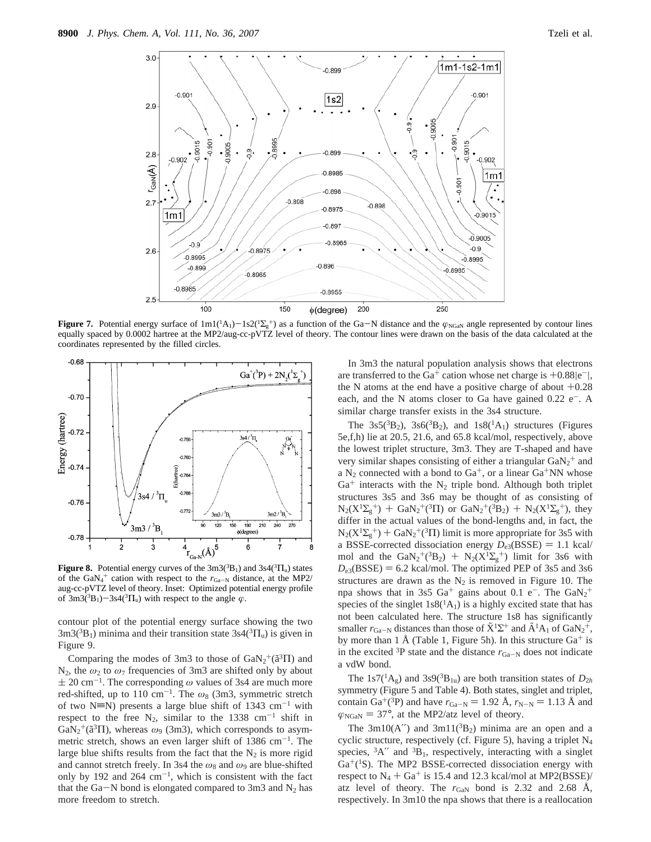

**Figure 7.** Potential energy surface of  $1m(1A_1)-1s2(1\Sigma_g^+)$  as a function of the Ga-N distance and the  $\varphi_{NGaN}$  angle represented by contour lines equally spaced by 0.0002 hartree at the MP2/ang-cc-pVTZ level of theory. equally spaced by 0.0002 hartree at the MP2/aug-cc-pVTZ level of theory. The contour lines were drawn on the basis of the data calculated at the coordinates represented by the filled circles.



**Figure 8.** Potential energy curves of the  $3m3(^{3}B_{1})$  and  $3s4(^{3}\Pi_{u})$  states of the GaN<sub>4</sub><sup>+</sup> cation with respect to the  $r_{Ga-N}$  distance, at the MP2/ aug-cc-pVTZ level of theory. Inset: Optimized potential energy profile of  $3m3(^{3}B_{1})-3s4(^{3}\Pi_{u})$  with respect to the angle  $\varphi$ .

contour plot of the potential energy surface showing the two  $3m3(^{3}B_1)$  minima and their transition state  $3s4(^{3}\Pi_u)$  is given in Figure 9.

Comparing the modes of 3m3 to those of  $\text{GaN}_2^+(\tilde{a}^3\Pi)$  and N<sub>2</sub>, the  $\omega_2$  to  $\omega_7$  frequencies of 3m3 are shifted only by about  $\pm$  20 cm<sup>-1</sup>. The corresponding  $\omega$  values of 3s4 are much more red-shifted, up to 110 cm-1. The *ω*<sup>8</sup> (3m3, symmetric stretch of two N $\equiv$ N) presents a large blue shift of 1343 cm<sup>-1</sup> with respect to the free  $N_2$ , similar to the 1338 cm<sup>-1</sup> shift in  $\text{GaN}_2^{\text{+}}(\tilde{a}^3 \Pi)$ , whereas  $\omega_9$  (3m3), which corresponds to asymmetric stretch, shows an even larger shift of  $1386 \text{ cm}^{-1}$ . The large blue shifts results from the fact that the  $N_2$  is more rigid and cannot stretch freely. In 3s4 the *ω*<sup>8</sup> and *ω*<sup>9</sup> are blue-shifted only by 192 and 264  $cm^{-1}$ , which is consistent with the fact that the Ga-N bond is elongated compared to 3m3 and  $N_2$  has more freedom to stretch.

In 3m3 the natural population analysis shows that electrons are transferred to the Ga<sup>+</sup> cation whose net charge is  $+0.88|e^-|$ , the N atoms at the end have a positive charge of about  $+0.28$ each, and the N atoms closer to Ga have gained  $0.22$  e<sup>-</sup>. A similar charge transfer exists in the 3s4 structure.

The  $3s5(^{3}B_{2})$ ,  $3s6(^{3}B_{2})$ , and  $1s8(^{1}A_{1})$  structures (Figures 5e,f,h) lie at 20.5, 21.6, and 65.8 kcal/mol, respectively, above the lowest triplet structure, 3m3. They are T-shaped and have very similar shapes consisting of either a triangular  $GaN_2^+$  and a  $N_2$  connected with a bond to  $Ga^+$ , or a linear  $Ga^+NN$  whose  $Ga<sup>+</sup>$  interacts with the N<sub>2</sub> triple bond. Although both triplet structures 3s5 and 3s6 may be thought of as consisting of  $N_2(X^1\Sigma_g^+)$  + GaN<sub>2</sub><sup>+</sup>(<sup>3</sup>H) or GaN<sub>2</sub><sup>+</sup>(<sup>3</sup>B<sub>2</sub>) + N<sub>2</sub>( $X^1\Sigma_g^+$ ), they<br>differ in the actual values of the bond-lengths and in fact, the differ in the actual values of the bond-lengths and, in fact, the  $N_2(X^1\Sigma_g^+)$  + GaN<sub>2</sub><sup>+</sup>(<sup>3</sup> $\Pi$ ) limit is more appropriate for 3s5 with<br>a BSSE-corrected dissociation energy  $D_2(BSSE) = 1.1$  kcal a BSSE-corrected dissociation energy  $D_{e3}(BSSE) = 1.1$  kcal/ mol and the  $\text{GaN}_2^{+}(^{3}B_2) + \text{N}_2(\text{X}^{1}\Sigma_g^{+})$  limit for 3s6 with  $D_{\alpha}(\text{RSSE}) = 6.2 \text{ kcal/mol}$ . The optimized PEP of 3s5 and 3s6  $D_{e3}(BSSE) = 6.2$  kcal/mol. The optimized PEP of 3s5 and 3s6 structures are drawn as the  $N_2$  is removed in Figure 10. The npa shows that in 3s5  $Ga^+$  gains about 0.1 e<sup>-</sup>. The  $GaN_2^+$ species of the singlet  $1s8(^1A_1)$  is a highly excited state that has not been calculated here. The structure 1s8 has significantly smaller  $r_{Ga-N}$  distances than those of  $\tilde{X}^1\Sigma^+$  and  $\tilde{A}^1A_1$  of  $GaN_2^+$ ,<br>by more than 1  $\AA$  (Table 1. Figure 5b). In this structure  $Ga^+$  is by more than 1  $\AA$  (Table 1, Figure 5h). In this structure  $Ga^+$  is in the excited <sup>3</sup>P state and the distance  $r_{Ga-N}$  does not indicate a vdW bond.

The 1s7( ${}^{1}A_{g}$ ) and 3s9( ${}^{3}B_{1u}$ ) are both transition states of  $D_{2h}$ symmetry (Figure 5 and Table 4). Both states, singlet and triplet, contain Ga<sup>+</sup>(<sup>3</sup>P) and have  $r_{Ga-N} = 1.92$  Å,  $r_{N-N} = 1.13$  Å and  $\varphi_{\text{NGaN}} = 37^{\circ}$ , at the MP2/atz level of theory.

The  $3m10(A'')$  and  $3m11({}^3B_2)$  minima are an open and a cyclic structure, respectively (cf. Figure 5), having a triplet N4 species,  ${}^{3}A''$  and  ${}^{3}B_1$ , respectively, interacting with a singlet  $Ga^{+(1)}S$ ). The MP2 BSSE-corrected dissociation energy with respect to  $N_4$  + Ga<sup>+</sup> is 15.4 and 12.3 kcal/mol at MP2(BSSE)/ atz level of theory. The  $r_{\text{GAN}}$  bond is 2.32 and 2.68 Å, respectively. In 3m10 the npa shows that there is a reallocation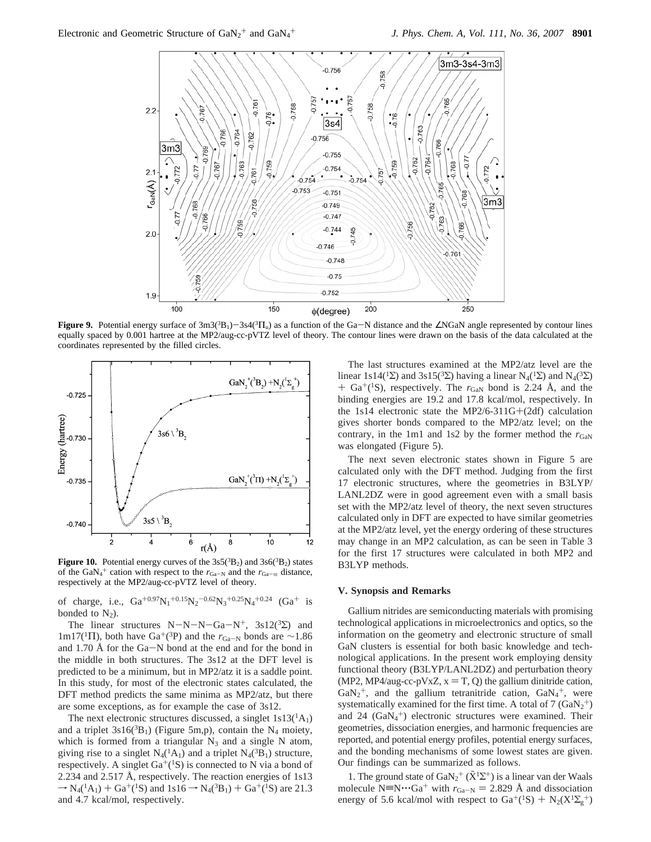

**Figure 9.** Potential energy surface of  $3m3(^3B_1)-3s4(^3\Pi_n)$  as a function of the Ga-N distance and the ∠NGaN angle represented by contour lines equally spaced by 0.001 hartree at the MP2/aug-cc-pVTZ level of theory. The contour lines were drawn on the basis of the data calculated at the coordinates represented by the filled circles.



**Figure 10.** Potential energy curves of the  $3s5(^3B_2)$  and  $3s6(^3B_2)$  states of the GaN<sub>4</sub><sup>+</sup> cation with respect to the  $r_{Ga-N}$  and the  $r_{Ga-\equiv}$  distance, respectively at the MP2/aug-cc-pVTZ level of theory.

of charge, i.e.,  $Ga^{+0.97}N_1^{+0.15}N_2^{-0.62}N_3^{+0.25}N_4^{+0.24}$  (Ga<sup>+</sup> is bonded to  $N_2$ ).

The linear structures N-N-N-Ga-N<sup>+</sup>, 3s12(<sup>3</sup> $\Sigma$ ) and 1m17(1Π), both have Ga+(3P) and the *<sup>r</sup>*Ga-<sup>N</sup> bonds are <sup>∼</sup>1.86 and 1.70 Å for the Ga-N bond at the end and for the bond in the middle in both structures. The 3s12 at the DFT level is predicted to be a minimum, but in MP2/atz it is a saddle point. In this study, for most of the electronic states calculated, the DFT method predicts the same minima as MP2/atz, but there are some exceptions, as for example the case of 3s12.

The next electronic structures discussed, a singlet  $1s13(^1A_1)$ and a triplet  $3s16(^{3}B_{1})$  (Figure 5m,p), contain the N<sub>4</sub> moiety, which is formed from a triangular  $N_3$  and a single N atom, giving rise to a singlet  $N_4(^1A_1)$  and a triplet  $N_4(^3B_1)$  structure, respectively. A singlet  $Ga^{+(1)}S$  is connected to N via a bond of 2.234 and 2.517 Å, respectively. The reaction energies of 1s13  $\rightarrow$  N<sub>4</sub>(<sup>1</sup>A<sub>1</sub>) + Ga<sup>+</sup>(<sup>1</sup>S) and 1s16  $\rightarrow$  N<sub>4</sub>(<sup>3</sup>B<sub>1</sub>) + Ga<sup>+</sup>(<sup>1</sup>S) are 21.3 and 4.7 kcal/mol, respectively.

The last structures examined at the MP2/atz level are the linear 1s14(<sup>1</sup>Σ) and 3s15(<sup>3</sup>Σ) having a linear N<sub>4</sub>(<sup>1</sup>Σ) and N<sub>4</sub>(<sup>3</sup>Σ)  $+$  Ga<sup>+</sup>(<sup>1</sup>S), respectively. The  $r_{\text{GaN}}$  bond is 2.24 Å, and the binding energies are 19.2 and 17.8 kcal/mol, respectively. In the 1s14 electronic state the MP2/6-311G+(2df) calculation gives shorter bonds compared to the MP2/atz level; on the contrary, in the 1m1 and 1s2 by the former method the  $r_{\text{GaN}}$ was elongated (Figure 5).

The next seven electronic states shown in Figure 5 are calculated only with the DFT method. Judging from the first 17 electronic structures, where the geometries in B3LYP/ LANL2DZ were in good agreement even with a small basis set with the MP2/atz level of theory, the next seven structures calculated only in DFT are expected to have similar geometries at the MP2/atz level, yet the energy ordering of these structures may change in an MP2 calculation, as can be seen in Table 3 for the first 17 structures were calculated in both MP2 and B3LYP methods.

#### **V. Synopsis and Remarks**

Gallium nitrides are semiconducting materials with promising technological applications in microelectronics and optics, so the information on the geometry and electronic structure of small GaN clusters is essential for both basic knowledge and technological applications. In the present work employing density functional theory (B3LYP/LANL2DZ) and perturbation theory (MP2, MP4/aug-cc-pVxZ,  $x = T$ , Q) the gallium dinitride cation,  $\text{GaN}_2^+$ , and the gallium tetranitride cation,  $\text{GaN}_4^+$ , were systematically examined for the first time. A total of  $7 \text{ (GaN}_2^+)$ and 24  $(GaN<sub>4</sub><sup>+</sup>)$  electronic structures were examined. Their geometries, dissociation energies, and harmonic frequencies are reported, and potential energy profiles, potential energy surfaces, and the bonding mechanisms of some lowest states are given. Our findings can be summarized as follows.

1. The ground state of GaN<sub>2</sub><sup>+</sup> ( $\tilde{X}^1\Sigma$ <sup>+</sup>) is a linear van der Waals<br>plecule N≡N…Ga<sup>+</sup> with  $r_{\text{G-N}} = 2.829$  Å and dissociation molecule N=N $\cdot \cdot$ <sup>+</sup> with  $r_{Ga-N} = 2.829$  Å and dissociation energy of 5.6 kcal/mol with respect to  $Ga^{+(1}S) + N_2(X^{1}\Sigma_g^{+})$